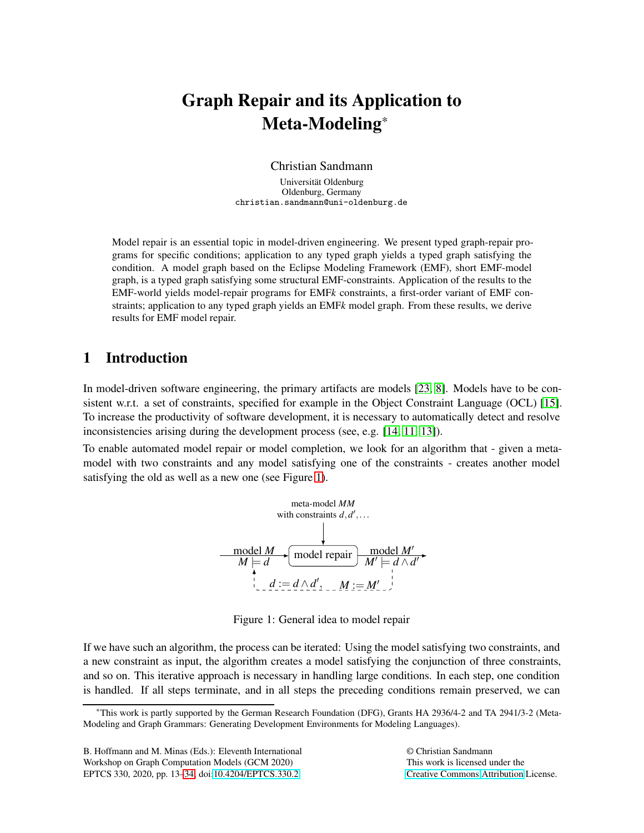# Graph Repair and its Application to Meta-Modeling\*

Christian Sandmann

Universität Oldenburg Oldenburg, Germany christian.sandmann@uni-oldenburg.de

Model repair is an essential topic in model-driven engineering. We present typed graph-repair programs for specific conditions; application to any typed graph yields a typed graph satisfying the condition. A model graph based on the Eclipse Modeling Framework (EMF), short EMF-model graph, is a typed graph satisfying some structural EMF-constraints. Application of the results to the EMF-world yields model-repair programs for EMF*k* constraints, a first-order variant of EMF constraints; application to any typed graph yields an EMF*k* model graph. From these results, we derive results for EMF model repair.

### 1 Introduction

In model-driven software engineering, the primary artifacts are models [\[23,](#page-21-1) [8\]](#page-20-0). Models have to be consistent w.r.t. a set of constraints, specified for example in the Object Constraint Language (OCL) [\[15\]](#page-20-1). To increase the productivity of software development, it is necessary to automatically detect and resolve inconsistencies arising during the development process (see, e.g. [\[14,](#page-20-2) [11,](#page-20-3) [13\]](#page-20-4)).

To enable automated model repair or model completion, we look for an algorithm that - given a metamodel with two constraints and any model satisfying one of the constraints - creates another model satisfying the old as well as a new one (see Figure [1\)](#page-0-0).



<span id="page-0-0"></span>Figure 1: General idea to model repair

If we have such an algorithm, the process can be iterated: Using the model satisfying two constraints, and a new constraint as input, the algorithm creates a model satisfying the conjunction of three constraints, and so on. This iterative approach is necessary in handling large conditions. In each step, one condition is handled. If all steps terminate, and in all steps the preceding conditions remain preserved, we can

© Christian Sandmann This work is licensed under the [Creative Commons](http://creativecommons.org) [Attribution](http://creativecommons.org/licenses/by/3.0/) License.

<sup>\*</sup>This work is partly supported by the German Research Foundation (DFG), Grants HA 2936/4-2 and TA 2941/3-2 (Meta-Modeling and Graph Grammars: Generating Development Environments for Modeling Languages).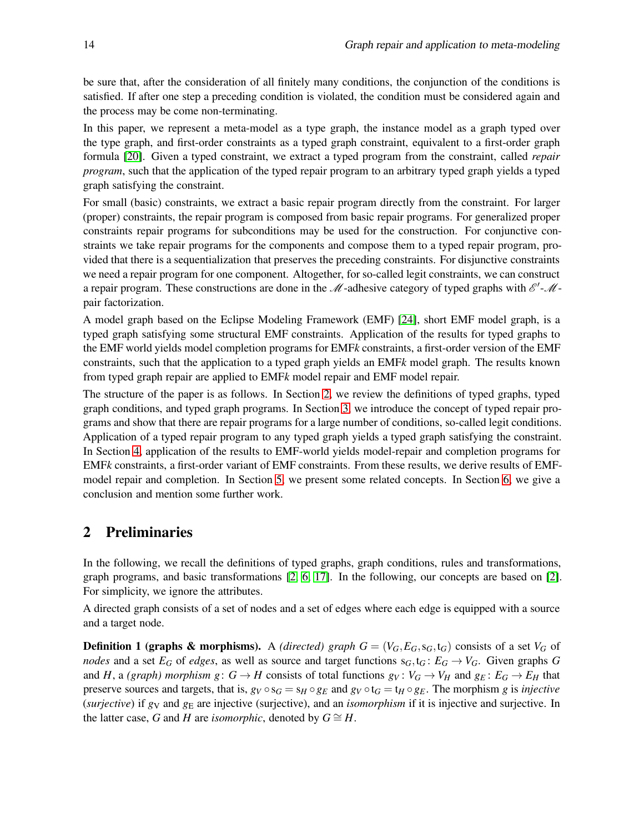be sure that, after the consideration of all finitely many conditions, the conjunction of the conditions is satisfied. If after one step a preceding condition is violated, the condition must be considered again and the process may be come non-terminating.

In this paper, we represent a meta-model as a type graph, the instance model as a graph typed over the type graph, and first-order constraints as a typed graph constraint, equivalent to a first-order graph formula [\[20\]](#page-20-5). Given a typed constraint, we extract a typed program from the constraint, called *repair program*, such that the application of the typed repair program to an arbitrary typed graph yields a typed graph satisfying the constraint.

For small (basic) constraints, we extract a basic repair program directly from the constraint. For larger (proper) constraints, the repair program is composed from basic repair programs. For generalized proper constraints repair programs for subconditions may be used for the construction. For conjunctive constraints we take repair programs for the components and compose them to a typed repair program, provided that there is a sequentialization that preserves the preceding constraints. For disjunctive constraints we need a repair program for one component. Altogether, for so-called legit constraints, we can construct a repair program. These constructions are done in the  $\mathcal{M}$ -adhesive category of typed graphs with  $\mathcal{E}'$ - $\mathcal{M}$ pair factorization.

A model graph based on the Eclipse Modeling Framework (EMF) [\[24\]](#page-21-2), short EMF model graph, is a typed graph satisfying some structural EMF constraints. Application of the results for typed graphs to the EMF world yields model completion programs for EMF*k* constraints, a first-order version of the EMF constraints, such that the application to a typed graph yields an EMF*k* model graph. The results known from typed graph repair are applied to EMF*k* model repair and EMF model repair.

The structure of the paper is as follows. In Section [2,](#page-1-0) we review the definitions of typed graphs, typed graph conditions, and typed graph programs. In Section [3,](#page-6-0) we introduce the concept of typed repair programs and show that there are repair programs for a large number of conditions, so-called legit conditions. Application of a typed repair program to any typed graph yields a typed graph satisfying the constraint. In Section [4,](#page-14-0) application of the results to EMF-world yields model-repair and completion programs for EMF*k* constraints, a first-order variant of EMF constraints. From these results, we derive results of EMFmodel repair and completion. In Section [5,](#page-17-0) we present some related concepts. In Section [6,](#page-19-0) we give a conclusion and mention some further work.

### <span id="page-1-0"></span>2 Preliminaries

In the following, we recall the definitions of typed graphs, graph conditions, rules and transformations, graph programs, and basic transformations [\[2,](#page-19-1) [6,](#page-20-6) [17\]](#page-20-7). In the following, our concepts are based on [\[2\]](#page-19-1). For simplicity, we ignore the attributes.

A directed graph consists of a set of nodes and a set of edges where each edge is equipped with a source and a target node.

**Definition 1 (graphs & morphisms).** A *(directed) graph*  $G = (V_G, E_G, s_G, t_G)$  consists of a set  $V_G$  of *nodes* and a set  $E_G$  of *edges*, as well as source and target functions  $s_G$ ,  $t_G$ :  $E_G \rightarrow V_G$ . Given graphs *G* and *H*, a *(graph) morphism g*:  $G \rightarrow H$  consists of total functions  $g_V : V_G \rightarrow V_H$  and  $g_E : E_G \rightarrow E_H$  that preserve sources and targets, that is,  $g_V \circ s_G = s_H \circ g_E$  and  $g_V \circ t_G = t_H \circ g_E$ . The morphism *g* is *injective* (*surjective*) if *g*<sup>V</sup> and *g*<sup>E</sup> are injective (surjective), and an *isomorphism* if it is injective and surjective. In the latter case, *G* and *H* are *isomorphic*, denoted by  $G \cong H$ .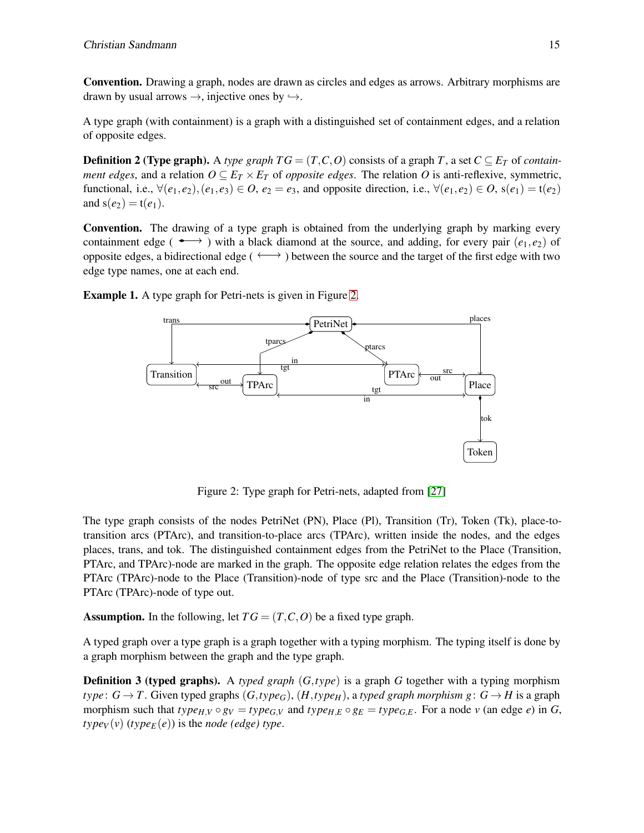Convention. Drawing a graph, nodes are drawn as circles and edges as arrows. Arbitrary morphisms are drawn by usual arrows  $\rightarrow$ , injective ones by  $\rightarrow$ .

A type graph (with containment) is a graph with a distinguished set of containment edges, and a relation of opposite edges.

**Definition 2 (Type graph).** A *type graph TG* =  $(T, C, O)$  consists of a graph *T*, a set  $C \subseteq E_T$  of *containment edges*, and a relation  $O \subseteq E_T \times E_T$  of *opposite edges*. The relation *O* is anti-reflexive, symmetric, functional, i.e., ∀(*e*1,*e*2),(*e*1,*e*3) ∈ *O*, *e*<sup>2</sup> = *e*3, and opposite direction, i.e., ∀(*e*1,*e*2) ∈ *O*, s(*e*1) = t(*e*2) and  $s(e_2) = t(e_1)$ .

Convention. The drawing of a type graph is obtained from the underlying graph by marking every containment edge ( $\longleftrightarrow$ ) with a black diamond at the source, and adding, for every pair  $(e_1, e_2)$  of opposite edges, a bidirectional edge ( $\longleftrightarrow$ ) between the source and the target of the first edge with two edge type names, one at each end.

Example 1. A type graph for Petri-nets is given in Figure [2.](#page-2-0)



<span id="page-2-0"></span>Figure 2: Type graph for Petri-nets, adapted from [\[27\]](#page-21-3)

The type graph consists of the nodes PetriNet (PN), Place (Pl), Transition (Tr), Token (Tk), place-totransition arcs (PTArc), and transition-to-place arcs (TPArc), written inside the nodes, and the edges places, trans, and tok. The distinguished containment edges from the PetriNet to the Place (Transition, PTArc, and TPArc)-node are marked in the graph. The opposite edge relation relates the edges from the PTArc (TPArc)-node to the Place (Transition)-node of type src and the Place (Transition)-node to the PTArc (TPArc)-node of type out.

Assumption. In the following, let  $TG = (T, C, O)$  be a fixed type graph.

A typed graph over a type graph is a graph together with a typing morphism. The typing itself is done by a graph morphism between the graph and the type graph.

Definition 3 (typed graphs). A *typed graph* (*G*,*type*) is a graph *G* together with a typing morphism  $type: G \rightarrow T$ . Given typed graphs  $(G, type_G)$ ,  $(H, type_H)$ , a *typed graph morphism g*:  $G \rightarrow H$  is a graph morphism such that  $type_{H,V} \circ g_V = type_{G,V}$  and  $type_{H,E} \circ g_E = type_{G,E}$ . For a node v (an edge e) in G,  $type_V(v)$  ( $type_E(e)$ ) is the *node* (edge) type.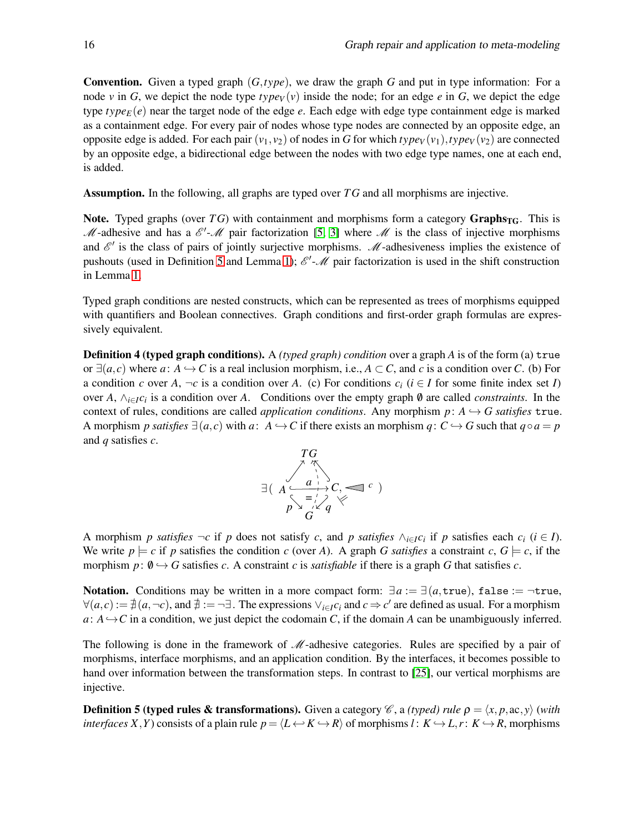Convention. Given a typed graph (*G*,*type*), we draw the graph *G* and put in type information: For a node *v* in *G*, we depict the node type  $type_V(v)$  inside the node; for an edge *e* in *G*, we depict the edge type  $type_E(e)$  near the target node of the edge  $e$ . Each edge with edge type containment edge is marked as a containment edge. For every pair of nodes whose type nodes are connected by an opposite edge, an opposite edge is added. For each pair  $(v_1, v_2)$  of nodes in *G* for which  $type_V(v_1), type_V(v_2)$  are connected by an opposite edge, a bidirectional edge between the nodes with two edge type names, one at each end, is added.

Assumption. In the following, all graphs are typed over *T G* and all morphisms are injective.

Note. Typed graphs (over  $TG$ ) with containment and morphisms form a category  $Graphs_{TG}$ . This is M-adhesive and has a  $\mathscr{E}'$ -M pair factorization [\[5,](#page-20-8) [3\]](#page-19-2) where M is the class of injective morphisms and  $\mathscr{E}'$  is the class of pairs of jointly surjective morphisms.  $\mathscr{M}$ -adhesiveness implies the existence of pushouts (used in Definition [5](#page-3-0) and Lemma [1\)](#page-5-0);  $\mathscr{E}'$ - $\mathscr{M}$  pair factorization is used in the shift construction in Lemma [1.](#page-5-0)

Typed graph conditions are nested constructs, which can be represented as trees of morphisms equipped with quantifiers and Boolean connectives. Graph conditions and first-order graph formulas are expressively equivalent.

Definition 4 (typed graph conditions). A *(typed graph) condition* over a graph *A* is of the form (a) true or  $\exists (a, c)$  where  $a: A \hookrightarrow C$  is a real inclusion morphism, i.e.,  $A \subset C$ , and *c* is a condition over *C*. (b) For a condition *c* over *A*,  $\neg c$  is a condition over *A*. (c) For conditions  $c_i$  ( $i \in I$  for some finite index set *I*) over *A*, ∧*i*∈*Ic<sup>i</sup>* is a condition over *A*. Conditions over the empty graph /0 are called *constraints*. In the context of rules, conditions are called *application conditions*. Any morphism  $p: A \rightarrow G$  satisfies true. A morphism *p* satisfies  $\exists (a, c)$  with *a*:  $A \hookrightarrow C$  if there exists an morphism *q*:  $C \hookrightarrow G$  such that  $q \circ a = p$ and *q* satisfies *c*.



A morphism *p* satisfies  $\neg c$  if *p* does not satisfy *c*, and *p* satisfies ∧<sub>*i*∈*I*</sub>*C<sub>i</sub>* if *p* satisfies each *c<sub>i</sub>* (*i* ∈ *I*). We write  $p \models c$  if p satisfies the condition c (over A). A graph *G satisfies* a constraint  $c, G \models c$ , if the morphism  $p: 0 \rightarrow G$  satisfies *c*. A constraint *c* is *satisfiable* if there is a graph *G* that satisfies *c*.

Notation. Conditions may be written in a more compact form:  $\exists a := \exists (a, \text{true})$ , false := ¬true,  $\forall (a,c) := \nexists (a,\neg c)$ , and  $\exists := \neg \exists$ . The expressions  $\vee_{i \in I} c_i$  and  $c \Rightarrow c'$  are defined as usual. For a morphism  $a: A \rightarrow C$  in a condition, we just depict the codomain *C*, if the domain *A* can be unambiguously inferred.

The following is done in the framework of  $M$ -adhesive categories. Rules are specified by a pair of morphisms, interface morphisms, and an application condition. By the interfaces, it becomes possible to hand over information between the transformation steps. In contrast to [\[25\]](#page-21-4), our vertical morphisms are injective.

<span id="page-3-0"></span>**Definition 5 (typed rules & transformations).** Given a category  $\mathscr C$ , a *(typed) rule*  $\rho = \langle x, p, ac, y \rangle$  *(with interfaces X*, *Y*) consists of a plain rule  $p = \langle L \leftrightarrow K \to R \rangle$  of morphisms *l* :  $K \to L$ , *r*:  $K \to R$ , morphisms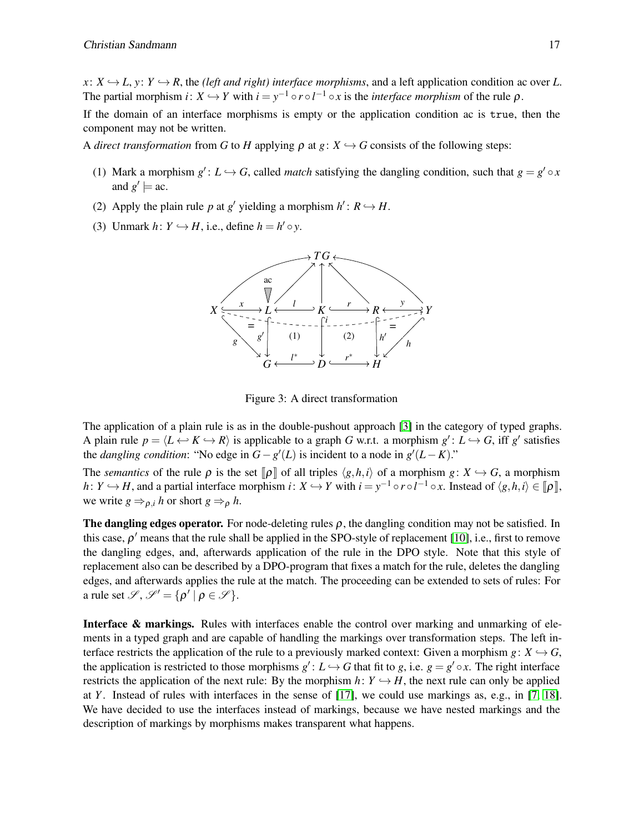$x: X \rightarrow L$ ,  $y: Y \rightarrow R$ , the *(left and right) interface morphisms*, and a left application condition ac over *L*. The partial morphism *i*:  $X \hookrightarrow Y$  with  $i = y^{-1} \circ r \circ l^{-1} \circ x$  is the *interface morphism* of the rule  $\rho$ .

If the domain of an interface morphisms is empty or the application condition ac is true, then the component may not be written.

A *direct transformation* from *G* to *H* applying  $\rho$  at  $g: X \hookrightarrow G$  consists of the following steps:

- (1) Mark a morphism  $g'$ :  $L \hookrightarrow G$ , called *match* satisfying the dangling condition, such that  $g = g' \circ x$ and  $g' \models$  ac.
- (2) Apply the plain rule p at g' yielding a morphism  $h' : R \hookrightarrow H$ .
- (3) Unmark  $h: Y \hookrightarrow H$ , i.e., define  $h = h' \circ y$ .



Figure 3: A direct transformation

The application of a plain rule is as in the double-pushout approach [\[3\]](#page-19-2) in the category of typed graphs. A plain rule  $p = \langle L \leftrightarrow K \to R \rangle$  is applicable to a graph *G* w.r.t. a morphism  $g' : L \to G$ , iff  $g'$  satisfies the *dangling condition*: "No edge in  $G - g'(L)$  is incident to a node in  $g'(L - K)$ ."

The *semantics* of the rule  $\rho$  is the set  $\llbracket \rho \rrbracket$  of all triples  $\langle g, h, i \rangle$  of a morphism  $g: X \hookrightarrow G$ , a morphism *h*:  $Y \hookrightarrow H$ , and a partial interface morphism *i*:  $X \hookrightarrow Y$  with  $i = y^{-1} \circ r \circ l^{-1} \circ x$ . Instead of  $\langle g, h, i \rangle \in [\![ \rho ]\!]$ , we write  $g \Rightarrow_{\rho,i} h$  or short  $g \Rightarrow_{\rho} h$ .

The dangling edges operator. For node-deleting rules  $\rho$ , the dangling condition may not be satisfied. In this case,  $\rho'$  means that the rule shall be applied in the SPO-style of replacement [\[10\]](#page-20-9), i.e., first to remove the dangling edges, and, afterwards application of the rule in the DPO style. Note that this style of replacement also can be described by a DPO-program that fixes a match for the rule, deletes the dangling edges, and afterwards applies the rule at the match. The proceeding can be extended to sets of rules: For a rule set  $\mathscr{S}, \mathscr{S}' = {\rho' | \rho \in \mathscr{S}}$ .

Interface & markings. Rules with interfaces enable the control over marking and unmarking of elements in a typed graph and are capable of handling the markings over transformation steps. The left interface restricts the application of the rule to a previously marked context: Given a morphism  $g: X \hookrightarrow G$ , the application is restricted to those morphisms  $g' : L \hookrightarrow G$  that fit to *g*, i.e.  $g = g' \circ x$ . The right interface restricts the application of the next rule: By the morphism  $h: Y \hookrightarrow H$ , the next rule can only be applied at *Y*. Instead of rules with interfaces in the sense of [\[17\]](#page-20-7), we could use markings as, e.g., in [\[7,](#page-20-10) [18\]](#page-20-11). We have decided to use the interfaces instead of markings, because we have nested markings and the description of markings by morphisms makes transparent what happens.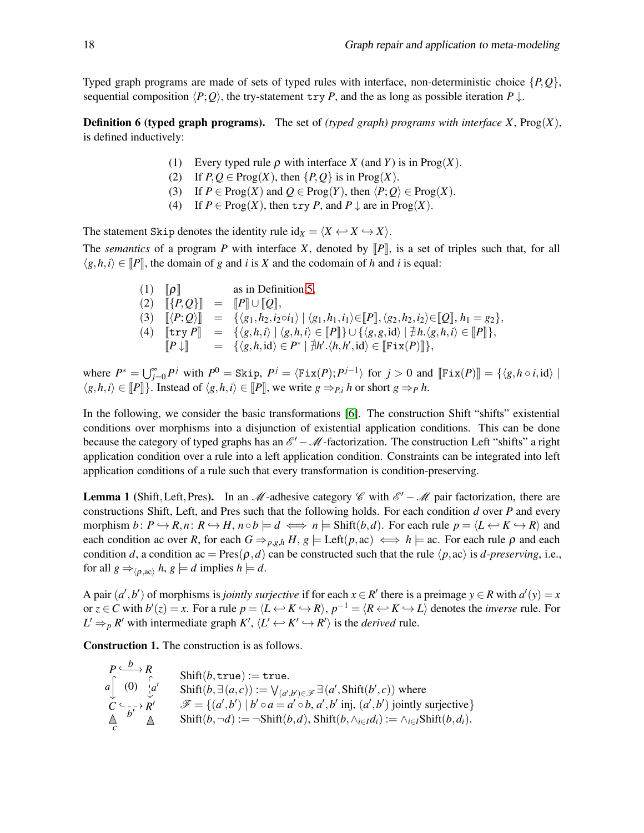Typed graph programs are made of sets of typed rules with interface, non-deterministic choice {*P*,*Q*}, sequential composition  $\langle P;Q \rangle$ , the try-statement try *P*, and the as long as possible iteration  $P \downarrow$ .

**Definition 6 (typed graph programs).** The set of *(typed graph) programs with interface X*,  $\text{Prog}(X)$ , is defined inductively:

- (1) Every typed rule  $\rho$  with interface *X* (and *Y*) is in Prog(*X*).
- (2) If  $P, Q \in \text{Prog}(X)$ , then  $\{P, Q\}$  is in  $\text{Prog}(X)$ .
- (3) If  $P \in \text{Prog}(X)$  and  $Q \in \text{Prog}(Y)$ , then  $\langle P; Q \rangle \in \text{Prog}(X)$ .
- (4) If  $P \in \text{Prog}(X)$ , then try *P*, and  $P \downarrow$  are in  $\text{Prog}(X)$ .

The statement Skip denotes the identity rule  $id_X = \langle X \leftrightarrow X \leftrightarrow X \rangle$ .

The *semantics* of a program *P* with interface *X*, denoted by  $\llbracket P \rrbracket$ , is a set of triples such that, for all  $\langle g, h, i \rangle \in [P]$ , the domain of *g* and *i* is *X* and the codomain of *h* and *i* is equal:

| $(1)$ $\lbrack \rho \rbrack$ | as in Definition 5,                                                                                                                                                                              |
|------------------------------|--------------------------------------------------------------------------------------------------------------------------------------------------------------------------------------------------|
|                              | $[2]$ $[ [P,Q]$ = $[P] \cup [Q]$ ,                                                                                                                                                               |
|                              | (3) $[\langle P; Q \rangle] = {\langle \langle g_1, h_2, i_2 \circ i_1 \rangle   \langle g_1, h_1, i_1 \rangle \in [P], \langle g_2, h_2, i_2 \rangle \in [Q], h_1 = g_2 \rangle},$              |
|                              | (4) $[\![\text{try } P]\!] = \{\langle g, h, i \rangle \mid \langle g, h, i \rangle \in [\![P]\!] \} \cup \{\langle g, g, id \rangle \mid \nexists h. \langle g, h, i \rangle \in [\![P]\!] \},$ |
|                              | $\llbracket P \downarrow \rrbracket = \{ \langle g, h, id \rangle \in P^* \mid \nexists h'. \langle h, h', id \rangle \in \llbracket \text{Fix}(P) \rrbracket \},$                               |

where  $P^* = \bigcup_{j=0}^{\infty} P^j$  with  $P^0 = \text{Skip}, P^j = \langle \text{Fix}(P); P^{j-1} \rangle$  for  $j > 0$  and  $[\![\text{Fix}(P)]\!] = \{\langle g, h \circ i, \text{id} \rangle \mid \exists h \in P^0 \}$  $\langle g, h, i \rangle \in [P]$ . Instead of  $\langle g, h, i \rangle \in [P]$ , we write  $g \Rightarrow p_i h$  or short  $g \Rightarrow p h$ .

In the following, we consider the basic transformations [\[6\]](#page-20-6). The construction Shift "shifts" existential conditions over morphisms into a disjunction of existential application conditions. This can be done because the category of typed graphs has an  $\mathscr{E}' - \mathscr{M}$ -factorization. The construction Left "shifts" a right application condition over a rule into a left application condition. Constraints can be integrated into left application conditions of a rule such that every transformation is condition-preserving.

<span id="page-5-0"></span>**Lemma 1** (Shift, Left, Pres). In an M-adhesive category  $\mathscr{C}$  with  $\mathscr{E}' - \mathscr{M}$  pair factorization, there are constructions Shift, Left, and Pres such that the following holds. For each condition *d* over *P* and every morphism  $b: P \hookrightarrow R, n: R \hookrightarrow H, n \circ b \models d \iff n \models \text{Shift}(b, d)$ . For each rule  $p = \langle L \leftrightarrow K \hookrightarrow R \rangle$  and each condition ac over *R*, for each  $G \Rightarrow_{p,g,h} H, g \models \text{Left}(p, ac) \iff h \models ac$ . For each rule  $\rho$  and each condition *d*, a condition ac = Pres( $\rho$ ,*d*) can be constructed such that the rule  $\langle p, ac \rangle$  is *d-preserving*, i.e., for all  $g \Rightarrow_{\langle \rho, ac \rangle} h, g \models d$  implies  $h \models d$ .

A pair  $(a', b')$  of morphisms is *jointly surjective* if for each  $x \in R'$  there is a preimage  $y \in R$  with  $a'(y) = x$ or  $z \in C$  with  $b'(z) = x$ . For a rule  $p = \langle L \leftrightarrow K \hookrightarrow R \rangle$ ,  $p^{-1} = \langle R \leftrightarrow K \hookrightarrow L \rangle$  denotes the *inverse* rule. For  $L' \Rightarrow_{p} R'$  with intermediate graph  $K'$ ,  $\langle L' \leftrightarrow K' \leftrightarrow R' \rangle$  is the *derived* rule.

Construction 1. The construction is as follows.

$$
\begin{array}{ll}\nP \xrightarrow{b} R \\
a \begin{bmatrix} 0 \\ 0 \end{bmatrix} \xrightarrow{a'} \\
\mathbf{F} \\
\mathbf{F} \\
\mathbf{F} \\
\mathbf{F} \\
\mathbf{F} \\
\mathbf{F} \\
\mathbf{F} \\
\mathbf{F} \\
\mathbf{F} \\
\mathbf{F} \\
\mathbf{F} \\
\mathbf{F} \\
\mathbf{F} \\
\mathbf{F} \\
\mathbf{F} \\
\mathbf{F} \\
\mathbf{F} \\
\mathbf{F} \\
\mathbf{F} \\
\mathbf{F} \\
\mathbf{F} \\
\mathbf{F} \\
\mathbf{F} \\
\mathbf{F} \\
\mathbf{F} \\
\mathbf{F} \\
\mathbf{F} \\
\mathbf{F} \\
\mathbf{F} \\
\mathbf{F} \\
\mathbf{F} \\
\mathbf{F} \\
\mathbf{F} \\
\mathbf{F} \\
\mathbf{F} \\
\mathbf{F} \\
\mathbf{F} \\
\mathbf{F} \\
\mathbf{F} \\
\mathbf{F} \\
\mathbf{F} \\
\mathbf{F} \\
\mathbf{F} \\
\mathbf{F} \\
\mathbf{F} \\
\mathbf{F} \\
\mathbf{F} \\
\mathbf{F} \\
\mathbf{F} \\
\mathbf{F} \\
\mathbf{F} \\
\mathbf{F} \\
\mathbf{F} \\
\mathbf{F} \\
\mathbf{F} \\
\mathbf{F} \\
\mathbf{F} \\
\mathbf{F} \\
\mathbf{F} \\
\mathbf{F} \\
\mathbf{F} \\
\mathbf{F} \\
\mathbf{F} \\
\mathbf{F} \\
\mathbf{F} \\
\mathbf{F} \\
\mathbf{F} \\
\mathbf{F} \\
\mathbf{F} \\
\mathbf{F} \\
\mathbf{F} \\
\mathbf{F} \\
\mathbf{F} \\
\mathbf{F} \\
\mathbf{F} \\
\mathbf{F} \\
\mathbf{F} \\
\mathbf{F} \\
\mathbf{F} \\
\mathbf{F} \\
\mathbf{F} \\
\mathbf{F} \\
\mathbf{F} \\
\mathbf{F} \\
\mathbf{F} \\
\mathbf{F} \\
\mathbf{F} \\
\mathbf{F} \\
\mathbf{F} \\
\mathbf{F} \\
\mathbf{F} \\
\mathbf{F} \\
\mathbf{F} \\
\mathbf{F} \\
\mathbf{F} \\
\mathbf{F} \\
\mathbf{F} \\
\mathbf{F} \\
\mathbf{F} \\
\mathbf{F} \\
\mathbf{F} \\
\mathbf{F} \\
\mathbf{F
$$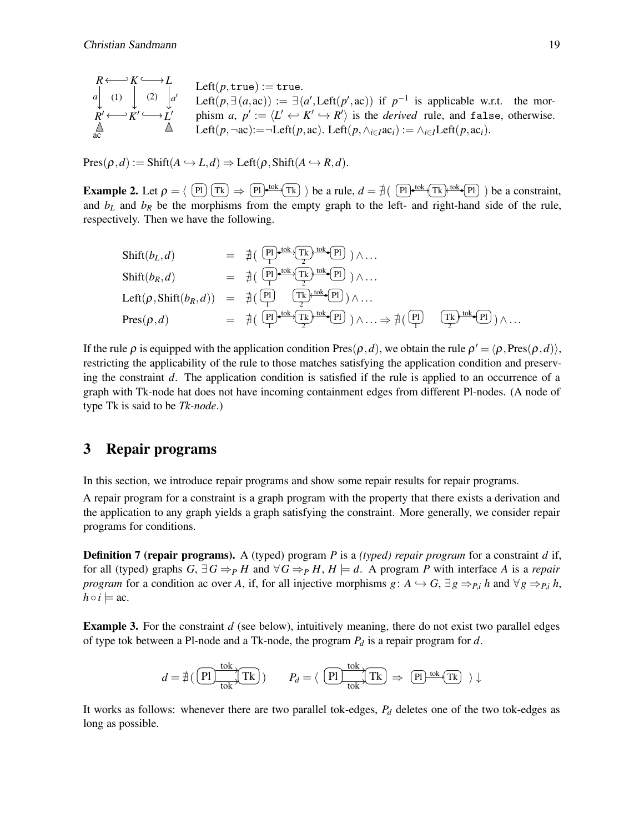$$
R \longleftrightarrow K \longrightarrow L
$$
  
\n
$$
\downarrow
$$
 (1) 
$$
\downarrow
$$
 (2) 
$$
\downarrow
$$
 a' Let  $(p, \exists (a, ac)) := \exists (a', \text{Left}(p', ac)) \text{ if } p^{-1} \text{ is applicable w.r.t. the mor-\n $R' \longleftrightarrow K' \longrightarrow L'$   
\n $\uparrow$   $\downarrow$   $\uparrow$   $\downarrow$   $\downarrow$   $\downarrow$   $\downarrow$   $\downarrow$   $\downarrow$   $\downarrow$   $\downarrow$   $\downarrow$   $\downarrow$   $\downarrow$   $\downarrow$   $\downarrow$   $\downarrow$   $\downarrow$   $\downarrow$   $\downarrow$   $\downarrow$   $\downarrow$   $\downarrow$   $\downarrow$   $\downarrow$   $\downarrow$   $\downarrow$   $\downarrow$   $\downarrow$   $\downarrow$   $\downarrow$   $\downarrow$   $\downarrow$   $\downarrow$   $\downarrow$   $\downarrow$   $\downarrow$   $\downarrow$   $\downarrow$   $\downarrow$   $\downarrow$   $\downarrow$   $\downarrow$   $\downarrow$   $\downarrow$   $\downarrow$   $\downarrow$   $\downarrow$   $\downarrow$   $\downarrow$   $\downarrow$   $\downarrow$   $\downarrow$   $\downarrow$   $\downarrow$   $\downarrow$   $\downarrow$   $\downarrow$   $\downarrow$   $\downarrow$   $\downarrow$   $\downarrow$   $\downarrow$   $\downarrow$   $\downarrow$   $\downarrow$   $\downarrow$   $\downarrow$   $\downarrow$   $\downarrow$   $\downarrow$   $\downarrow$   $\downarrow$   $\downarrow$   $\downarrow$   $\downarrow$   $\downarrow$   $\downarrow$   $\downarrow$   $\$$ 

 $Pres(\rho, d) := Shift(A \hookrightarrow L, d) \Rightarrow Left(\rho, Shift(A \hookrightarrow R, d)).$ 

**Example 2.** Let  $\rho = \langle P \mid T\mathbb{R} \rangle \Rightarrow (P \mid \text{tot}(T\mathbb{R}) \rangle$  be a rule,  $d = \frac{\pi}{4}(\langle P \mid \text{tot}(T\mathbb{R}) \cdot \text{tot}(P \mid \mathbb{R}) \rangle$  be a constraint, and  $b_L$  and  $b_R$  be the morphisms from the empty graph to the left- and right-hand side of the rule, respectively. Then we have the following.

$$
\text{Shift}(b_L, d) = \n\begin{array}{rcl}\n\exists \text{lift}(b_L, d) & = & \exists \left( \begin{array}{c} \text{Pl} \cdot \text{tok} \cdot \text{Tk} \cdot \text{tok} \cdot \text{Pl} \end{array} \right) \wedge \dots \\
\text{Shift}(b_R, d) & = & \exists \left( \begin{array}{c} \text{Pl} \cdot \text{tok} \cdot \text{Tk} \cdot \text{tok} \cdot \text{Pl} \end{array} \right) \wedge \dots \\
\text{Left}(p, \text{Shift}(b_R, d)) & = & \exists \left( \begin{array}{c} \text{Pl} \cdot \text{Tk} \cdot \text{tok} \cdot \text{Pl} \end{array} \right) \wedge \dots \\
\text{Pres}(p, d) & = & \exists \left( \begin{array}{c} \text{Pl} \cdot \text{tok} \cdot \text{Tk} \cdot \text{pk} \cdot \text{Pl} \end{array} \right) \wedge \dots \\
\text{Pres}(p, d) & = & \exists \left( \begin{array}{c} \text{Pl} \cdot \text{tok} \cdot \text{Tk} \cdot \text{pk} \cdot \text{Pl} \end{array} \right) \wedge \dots \\
\Rightarrow \n\exists \left( \begin{array}{c} \text{Pl} \cdot \text{tok} \cdot \text{Pl} \end{array} \right) \wedge \dots\n\end{array}
$$

If the rule  $\rho$  is equipped with the application condition Pres $(\rho, d)$ , we obtain the rule  $\rho' = \langle \rho, Pres(\rho,d) \rangle$ , restricting the applicability of the rule to those matches satisfying the application condition and preserving the constraint *d*. The application condition is satisfied if the rule is applied to an occurrence of a graph with Tk-node hat does not have incoming containment edges from different Pl-nodes. (A node of type Tk is said to be *Tk-node*.)

### <span id="page-6-0"></span>3 Repair programs

In this section, we introduce repair programs and show some repair results for repair programs.

A repair program for a constraint is a graph program with the property that there exists a derivation and the application to any graph yields a graph satisfying the constraint. More generally, we consider repair programs for conditions.

Definition 7 (repair programs). A (typed) program *P* is a *(typed) repair program* for a constraint *d* if, for all (typed) graphs  $G$ ,  $\exists G \Rightarrow_{P} H$  and  $\forall G \Rightarrow_{P} H$ ,  $H \models d$ . A program *P* with interface *A* is a *repair program* for a condition ac over *A*, if, for all injective morphisms *g*:  $A \hookrightarrow G$ ,  $\exists g \Rightarrow_{P,i} h$  and  $\forall g \Rightarrow_{P,i} h$ ,  $h \circ i \models ac$ .

**Example 3.** For the constraint *d* (see below), intuitively meaning, there do not exist two parallel edges of type tok between a Pl-node and a Tk-node, the program *P<sup>d</sup>* is a repair program for *d*.

$$
d = \nexists \left( \overbrace{\text{Pl}} \xrightarrow{\text{tok}} \overbrace{\text{tok}} \right) \qquad P_d = \left( \overbrace{\text{Pl}} \xrightarrow{\text{tok}} \overbrace{\text{Tk}} \right) \Rightarrow \overbrace{\text{Pl}} \xrightarrow{\text{tok}} \overbrace{\text{Tk}} \left. \right) \downarrow
$$

It works as follows: whenever there are two parallel tok-edges, *P<sup>d</sup>* deletes one of the two tok-edges as long as possible.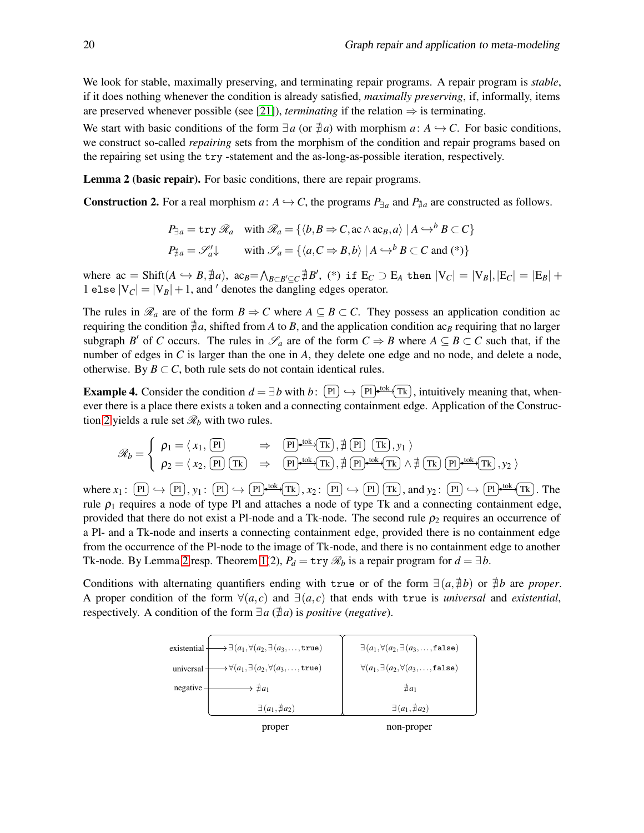We look for stable, maximally preserving, and terminating repair programs. A repair program is *stable*, if it does nothing whenever the condition is already satisfied, *maximally preserving*, if, informally, items are preserved whenever possible (see [\[21\]](#page-20-12)), *terminating* if the relation  $\Rightarrow$  is terminating.

We start with basic conditions of the form  $\exists a$  (or  $\exists a$ ) with morphism  $a: A \hookrightarrow C$ . For basic conditions, we construct so-called *repairing* sets from the morphism of the condition and repair programs based on the repairing set using the try -statement and the as-long-as-possible iteration, respectively.

<span id="page-7-1"></span><span id="page-7-0"></span>Lemma 2 (basic repair). For basic conditions, there are repair programs.

**Construction 2.** For a real morphism  $a: A \hookrightarrow C$ , the programs  $P_{\exists a}$  and  $P_{\nexists a}$  are constructed as follows.

$$
P_{\exists a} = \text{try } \mathcal{R}_a \quad \text{with } \mathcal{R}_a = \{ \langle b, B \Rightarrow C, \text{ac} \land \text{ac}_B, a \rangle \mid A \hookrightarrow^b B \subset C \}
$$
\n
$$
P_{\nexists a} = \mathcal{S}'_a \downarrow \qquad \text{with } \mathcal{S}_a = \{ \langle a, C \Rightarrow B, b \rangle \mid A \hookrightarrow^b B \subset C \text{ and (*)} \}
$$

where  $ac = \text{Shift}(A \hookrightarrow B, \nexists a)$ ,  $ac_B = \bigwedge_{B \subset B' \subseteq C} \nexists B'$ , (\*) if  $E_C \supset E_A$  then  $|V_C| = |V_B|, |E_C| = |E_B| +$ 1 else  $|V_C| = |V_B| + 1$ , and <sup>*'*</sup> denotes the dangling edges operator.

The rules in  $\mathcal{R}_a$  are of the form  $B \Rightarrow C$  where  $A \subseteq B \subset C$ . They possess an application condition ac requiring the condition  $\neq a$ , shifted from *A* to *B*, and the application condition ac<sub>*B*</sub> requiring that no larger subgraph *B*<sup> $\prime$ </sup> of *C* occurs. The rules in  $\mathscr{S}_a$  are of the form  $C \Rightarrow B$  where  $A \subseteq B \subset C$  such that, if the number of edges in *C* is larger than the one in *A*, they delete one edge and no node, and delete a node, otherwise. By  $B \subset C$ , both rule sets do not contain identical rules.

<span id="page-7-2"></span>**Example 4.** Consider the condition  $d = \exists b$  with  $b: \Pi$   $\leftrightarrow$   $[\Pi] \leftrightarrow [\Pi]$  tok  $[\Pi]$ , intuitively meaning that, whenever there is a place there exists a token and a connecting containment edge. Application of the Construc-tion [2](#page-7-0) yields a rule set  $\mathcal{R}_b$  with two rules.

$$
\mathscr{R}_b = \begin{cases} \n\rho_1 = \langle x_1, \overline{p_1} \rangle & \Rightarrow \overline{p_1} \cdot \text{tot}(T_K), \overline{\#(P_1)} \overline{(T_K)}, y_1 \rangle \\ \n\rho_2 = \langle x_2, \overline{p_1} \overline{(T_K)} \Rightarrow \overline{p_1} \cdot \text{tot}(T_K), \overline{\#(P_1)} \cdot \text{tot}(T_K) \wedge \overline{\#(T_K)} \overline{p_1} \cdot \text{tot}(T_K), y_2 \rangle \n\end{cases}
$$

where  $x_1: [P] \hookrightarrow [P], y_1: [P] \hookrightarrow [P] \longrightarrow^{\text{tok}} \text{Tk}, x_2: [P] \hookrightarrow [P] \text{Tk}, \text{and } y_2: [P] \hookrightarrow [P] \longrightarrow^{\text{tok}} \text{Tk}.$  The rule  $\rho_1$  requires a node of type Pl and attaches a node of type Tk and a connecting containment edge, provided that there do not exist a Pl-node and a Tk-node. The second rule  $\rho_2$  requires an occurrence of a Pl- and a Tk-node and inserts a connecting containment edge, provided there is no containment edge from the occurrence of the Pl-node to the image of Tk-node, and there is no containment edge to another Tk-node. By Lemma [2](#page-7-1) resp. Theorem [1\(](#page-8-0)2),  $P_d = \text{try } \mathcal{R}_b$  is a repair program for  $d = \exists b$ .

Conditions with alternating quantifiers ending with true or of the form  $\exists (a, \nexists b)$  or  $\nexists b$  are *proper*. A proper condition of the form  $\forall (a,c)$  and  $\exists (a,c)$  that ends with true is *universal* and *existential*, respectively. A condition of the form  $\exists a \, (\nexists a)$  is *positive* (*negative*).

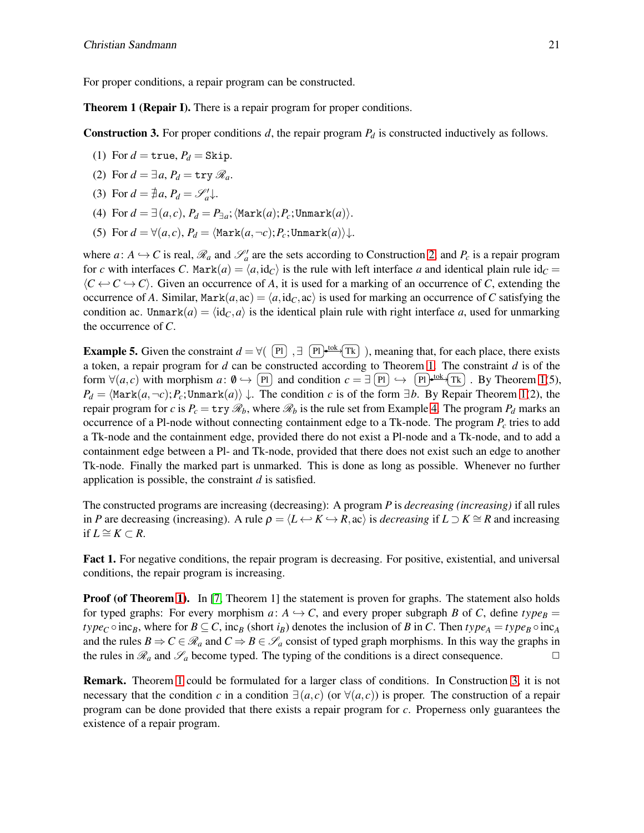<span id="page-8-0"></span>For proper conditions, a repair program can be constructed.

<span id="page-8-1"></span>**Theorem 1 (Repair I).** There is a repair program for proper conditions.

**Construction 3.** For proper conditions  $d$ , the repair program  $P_d$  is constructed inductively as follows.

- (1) For  $d = \text{true}, P_d = \text{Skip}.$
- (2) For  $d = \exists a, P_d = \text{try } \mathcal{R}_a$ .
- (3) For  $d = \frac{4}{7}a$ ,  $P_d = \mathcal{S}'_a \downarrow$ .
- (4) For  $d = \exists (a, c), P_d = P_{\exists a}$ ;  $\langle \text{Mark}(a); P_c; \text{Unmark}(a) \rangle$ .
- (5) For  $d = \forall (a, c), P_d = \langle \text{Mark}(a, \neg c); P_c; \text{Unmark}(a) \rangle \downarrow$ .

where  $a: A \hookrightarrow C$  is real,  $\mathcal{R}_a$  and  $\mathcal{S}'_a$  are the sets according to Construction [2,](#page-7-0) and  $P_c$  is a repair program for *c* with interfaces *C*. Mark $(a) = \langle a, id_C \rangle$  is the rule with left interface *a* and identical plain rule  $id_C =$  $\langle C \leftarrow C \leftarrow C \rangle$ . Given an occurrence of *A*, it is used for a marking of an occurrence of *C*, extending the occurrence of *A*. Similar,  $\text{Mark}(a, \text{ac}) = \langle a, \text{id}_C, \text{ac} \rangle$  is used for marking an occurrence of *C* satisfying the condition ac. Unmark $(a) = \langle id_C, a \rangle$  is the identical plain rule with right interface *a*, used for unmarking the occurrence of *C*.

<span id="page-8-2"></span>**Example 5.** Given the constraint  $d = \forall (\begin{bmatrix} P \end{bmatrix}, \exists \begin{bmatrix} P \end{bmatrix})$ , meaning that, for each place, there exists a token, a repair program for *d* can be constructed according to Theorem [1.](#page-8-0) The constraint *d* is of the form  $\forall (a, c)$  with morphism  $a: \emptyset \hookrightarrow \overline{[P]}$  and condition  $c = \exists \overline{[P]} \hookrightarrow \overline{[P]}$   $\rightarrow \overline{[P]}$   $\rightarrow \overline{[P]}$ . By Theorem [1\(](#page-8-0)5),  $P_d = \langle \text{Mark}(a, \neg c); P_c; \text{Unmark}(a) \rangle \downarrow$ . The condition *c* is of the form  $\exists b$ . By Repair Theorem [1\(](#page-8-0)2), the repair program for *c* is  $P_c = \text{try } \mathcal{R}_b$ , where  $\mathcal{R}_b$  is the rule set from Example [4.](#page-7-2) The program  $P_d$  marks an occurrence of a Pl-node without connecting containment edge to a Tk-node. The program *P<sup>c</sup>* tries to add a Tk-node and the containment edge, provided there do not exist a Pl-node and a Tk-node, and to add a containment edge between a Pl- and Tk-node, provided that there does not exist such an edge to another Tk-node. Finally the marked part is unmarked. This is done as long as possible. Whenever no further application is possible, the constraint *d* is satisfied.

The constructed programs are increasing (decreasing): A program *P* is *decreasing (increasing)* if all rules in *P* are decreasing (increasing). A rule  $\rho = \langle L \leftrightarrow K \to R$ , ac) is *decreasing* if  $L \supset K \cong R$  and increasing if  $L \cong K \subset R$ .

Fact 1. For negative conditions, the repair program is decreasing. For positive, existential, and universal conditions, the repair program is increasing.

**Proof (of Theorem [1\)](#page-8-0).** In [\[7,](#page-20-10) Theorem 1] the statement is proven for graphs. The statement also holds for typed graphs: For every morphism  $a: A \hookrightarrow C$ , and every proper subgraph *B* of *C*, define *type*<sub>*B*</sub> = *type*<sub>*C*</sub>  $\circ$  inc<sub>*B*</sub>, where for  $B \subseteq C$ , inc<sub>*B*</sub> (short *i<sub>B</sub>*) denotes the inclusion of *B* in *C*. Then *type*<sub>*A*</sub> = *type*<sub>B</sub> $\circ$  inc<sub>*A*</sub> and the rules  $B \Rightarrow C \in \mathcal{R}_a$  and  $C \Rightarrow B \in \mathcal{S}_a$  consist of typed graph morphisms. In this way the graphs in the rules in  $\mathcal{R}_a$  and  $\mathcal{S}_a$  become typed. The typing of the conditions is a direct consequence.

Remark. Theorem [1](#page-8-0) could be formulated for a larger class of conditions. In Construction [3,](#page-8-1) it is not necessary that the condition *c* in a condition  $\exists (a, c)$  (or  $\forall (a, c)$ ) is proper. The construction of a repair program can be done provided that there exists a repair program for *c*. Properness only guarantees the existence of a repair program.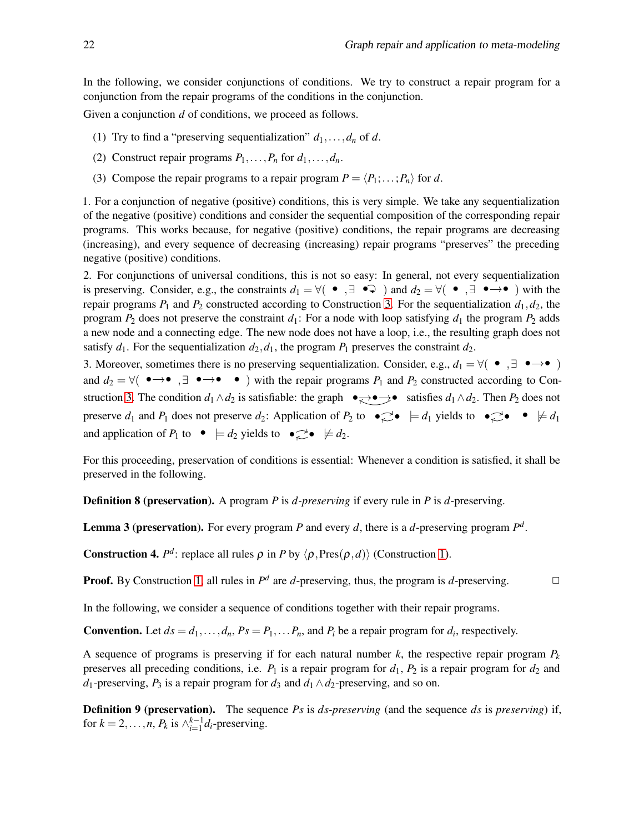In the following, we consider conjunctions of conditions. We try to construct a repair program for a conjunction from the repair programs of the conditions in the conjunction.

Given a conjunction *d* of conditions, we proceed as follows.

- (1) Try to find a "preserving sequentialization"  $d_1, \ldots, d_n$  of  $d$ .
- (2) Construct repair programs  $P_1, \ldots, P_n$  for  $d_1, \ldots, d_n$ .
- (3) Compose the repair programs to a repair program  $P = \langle P_1; \ldots; P_n \rangle$  for *d*.

1. For a conjunction of negative (positive) conditions, this is very simple. We take any sequentialization of the negative (positive) conditions and consider the sequential composition of the corresponding repair programs. This works because, for negative (positive) conditions, the repair programs are decreasing (increasing), and every sequence of decreasing (increasing) repair programs "preserves" the preceding negative (positive) conditions.

2. For conjunctions of universal conditions, this is not so easy: In general, not every sequentialization is preserving. Consider, e.g., the constraints  $d_1 = \forall (\bullet, \exists \bullet \Im)$  and  $d_2 = \forall (\bullet, \exists \bullet \rightarrow \bullet)$  with the repair programs  $P_1$  and  $P_2$  constructed according to Construction [3.](#page-8-1) For the sequentialization  $d_1, d_2$ , the program  $P_2$  does not preserve the constraint  $d_1$ : For a node with loop satisfying  $d_1$  the program  $P_2$  adds a new node and a connecting edge. The new node does not have a loop, i.e., the resulting graph does not satisfy  $d_1$ . For the sequentialization  $d_2$ ,  $d_1$ , the program  $P_1$  preserves the constraint  $d_2$ .

3. Moreover, sometimes there is no preserving sequentialization. Consider, e.g.,  $d_1 = \forall (\bullet, \exists \bullet \rightarrow \bullet)$ and  $d_2 = \forall (\bullet \rightarrow \bullet \ \overline{\bullet}) \bullet \rightarrow \bullet \bullet)$  with the repair programs  $P_1$  and  $P_2$  constructed according to Con-struction [3.](#page-8-1) The condition *d*<sub>1</sub> ∧*d*<sub>2</sub> is satisfiable: the graph  $\bullet \rightleftharpoons \bullet \rightarrow \bullet$  satisfies *d*<sub>1</sub> ∧*d*<sub>2</sub>. Then *P*<sub>2</sub> does not preserve  $d_1$  and  $P_1$  does not preserve  $d_2$ : Application of  $P_2$  to  $\bullet \neq d_1$  yields to  $\bullet \neq d_1$ and application of  $P_1$  to  $\bullet \models d_2$  yields to  $\bullet \rightleftharpoons \bullet \not\models d_2$ .

For this proceeding, preservation of conditions is essential: Whenever a condition is satisfied, it shall be preserved in the following.

<span id="page-9-0"></span>Definition 8 (preservation). A program *P* is *d-preserving* if every rule in *P* is *d*-preserving.

Lemma 3 (preservation). For every program *P* and every *d*, there is a *d*-preserving program *P d* .

**Construction 4.**  $P^d$ : replace all rules  $\rho$  in *P* by  $\langle \rho, \text{Pres}(\rho, d) \rangle$  (Construction [1\)](#page-5-0).

**Proof.** By Construction [1,](#page-5-0) all rules in  $P^d$  are *d*-preserving, thus, the program is *d*-preserving.  $\Box$ 

In the following, we consider a sequence of conditions together with their repair programs.

**Convention.** Let  $ds = d_1, \ldots, d_n$ ,  $Ps = P_1, \ldots, P_n$ , and  $P_i$  be a repair program for  $d_i$ , respectively.

A sequence of programs is preserving if for each natural number  $k$ , the respective repair program  $P_k$ preserves all preceding conditions, i.e.  $P_1$  is a repair program for  $d_1$ ,  $P_2$  is a repair program for  $d_2$  and *d*<sub>1</sub>-preserving,  $P_3$  is a repair program for  $d_3$  and  $d_1 \wedge d_2$ -preserving, and so on.

Definition 9 (preservation). The sequence *Ps* is *ds-preserving* (and the sequence *ds* is *preserving*) if, for  $k = 2, \ldots, n$ ,  $P_k$  is  $\wedge_{i=1}^{k-1} d_i$ -preserving.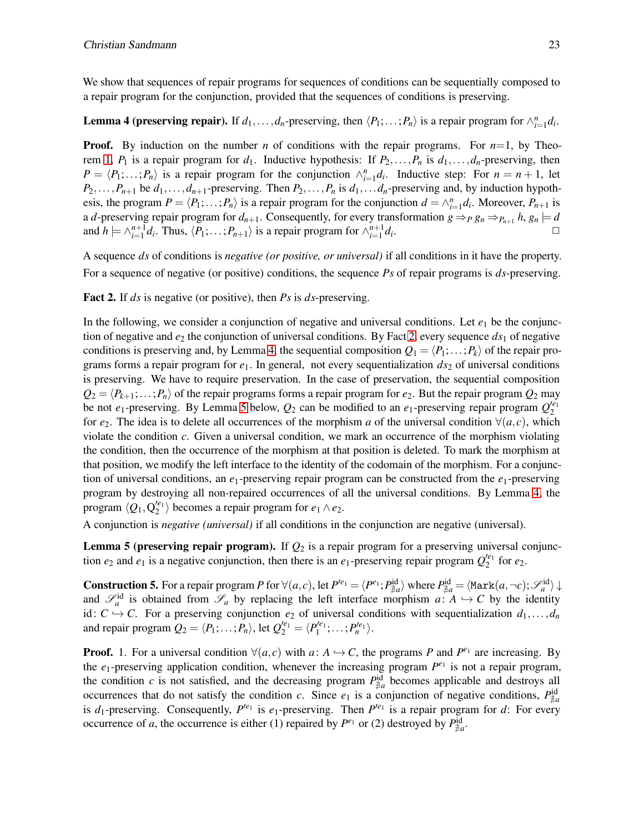<span id="page-10-1"></span>We show that sequences of repair programs for sequences of conditions can be sequentially composed to a repair program for the conjunction, provided that the sequences of conditions is preserving.

## **Lemma 4 (preserving repair).** If  $d_1, \ldots, d_n$ -preserving, then  $\langle P_1; \ldots; P_n \rangle$  is a repair program for  $\wedge_{i=1}^n d_i$ .

**Proof.** By induction on the number *n* of conditions with the repair programs. For  $n=1$ , by Theo-rem [1,](#page-8-0)  $P_1$  is a repair program for  $d_1$ . Inductive hypothesis: If  $P_2, \ldots, P_n$  is  $d_1, \ldots, d_n$ -preserving, then  $P = \langle P_1; \ldots; P_n \rangle$  is a repair program for the conjunction  $\wedge_{i=1}^n d_i$ . Inductive step: For  $n = n + 1$ , let  $P_2, \ldots, P_{n+1}$  be  $d_1, \ldots, d_{n+1}$ -preserving. Then  $P_2, \ldots, P_n$  is  $d_1, \ldots, d_n$ -preserving and, by induction hypothesis, the program  $P = \langle P_1; \ldots; P_n \rangle$  is a repair program for the conjunction  $d = \bigwedge_{i=1}^n d_i$ . Moreover,  $P_{n+1}$  is a *d*-preserving repair program for  $d_{n+1}$ . Consequently, for every transformation  $g \Rightarrow_P g_n \Rightarrow_{P_{n+1}} h, g_n \models d$ and  $h \models \bigwedge_{i=1}^{n+1} d_i$ . Thus,  $\langle P_1; \ldots; P_{n+1} \rangle$  is a repair program for  $\bigwedge_{i=1}^{n+1} d_i$ . ✷

<span id="page-10-0"></span>A sequence *ds* of conditions is *negative (or positive, or universal)* if all conditions in it have the property. For a sequence of negative (or positive) conditions, the sequence *Ps* of repair programs is *ds*-preserving.

Fact 2. If *ds* is negative (or positive), then *Ps* is *ds*-preserving.

In the following, we consider a conjunction of negative and universal conditions. Let  $e_1$  be the conjunction of negative and  $e_2$  the conjunction of universal conditions. By Fact [2,](#page-10-0) every sequence  $ds_1$  of negative conditions is preserving and, by Lemma [4,](#page-10-1) the sequential composition  $Q_1 = \langle P_1; \ldots; P_k \rangle$  of the repair programs forms a repair program for  $e_1$ . In general, not every sequentialization  $ds_2$  of universal conditions is preserving. We have to require preservation. In the case of preservation, the sequential composition  $Q_2 = \langle P_{k+1}; \ldots; P_n \rangle$  of the repair programs forms a repair program for *e*<sub>2</sub>. But the repair program  $Q_2$  may be not  $e_1$ -preserving. By Lemma [5](#page-10-2) below,  $Q_2$  can be modified to an  $e_1$ -preserving repair program  $Q_2^{(e_1)}$ for  $e_2$ . The idea is to delete all occurrences of the morphism *a* of the universal condition  $\forall (a,c)$ , which violate the condition *c*. Given a universal condition, we mark an occurrence of the morphism violating the condition, then the occurrence of the morphism at that position is deleted. To mark the morphism at that position, we modify the left interface to the identity of the codomain of the morphism. For a conjunction of universal conditions, an *e*1-preserving repair program can be constructed from the *e*1-preserving program by destroying all non-repaired occurrences of all the universal conditions. By Lemma [4,](#page-10-1) the program  $\langle Q_1, Q_2^{\prime e_1} \rangle$  becomes a repair program for  $e_1 \wedge e_2$ .

<span id="page-10-2"></span>A conjunction is *negative (universal)* if all conditions in the conjunction are negative (universal).

**Lemma 5 (preserving repair program).** If  $Q_2$  is a repair program for a preserving universal conjunction  $e_2$  and  $e_1$  is a negative conjunction, then there is an  $e_1$ -preserving repair program  $Q_2^{e_1}$  for  $e_2$ .

**Construction 5.** For a repair program *P* for  $\forall (a, c)$ , let  $P'^{e_1} = \langle P^{e_1}; P^{id}_{\nexists a} \rangle$  where  $P^{id}_{\nexists a} = \langle \text{Mark}(a, \neg c); \mathcal{S}_a^{\text{id}} \rangle \downarrow$ and  $\mathscr{S}_a^{\text{id}}$  is obtained from  $\mathscr{S}_a$  by replacing the left interface morphism  $a: A \hookrightarrow C$  by the identity id:  $C \rightarrow C$ . For a preserving conjunction  $e_2$  of universal conditions with sequentialization  $d_1, \ldots, d_n$ and repair program  $Q_2 = \langle P_1; \ldots; P_n \rangle$ , let  $Q_2^{\prime e_1} = \langle P_1^{\prime e_1}; \ldots; P_n^{\prime e_1} \rangle$ .

**Proof.** 1. For a universal condition  $\forall (a, c)$  with  $a: A \hookrightarrow C$ , the programs *P* and  $P^{e_1}$  are increasing. By the  $e_1$ -preserving application condition, whenever the increasing program  $P^{e_1}$  is not a repair program, the condition *c* is not satisfied, and the decreasing program  $P_{\neq a}^{id}$  becomes applicable and destroys all occurrences that do not satisfy the condition *c*. Since  $e_1$  is a conjunction of negative conditions,  $P_{\neq a}^{id}$ is  $d_1$ -preserving. Consequently,  $P^{i_{e_1}}$  is  $e_1$ -preserving. Then  $P^{i_{e_1}}$  is a repair program for  $d$ : For every occurrence of *a*, the occurrence is either (1) repaired by  $P^{\epsilon_1}$  or (2) destroyed by  $P_{\frac{4}{\mu}a}^{\text{id}}$ .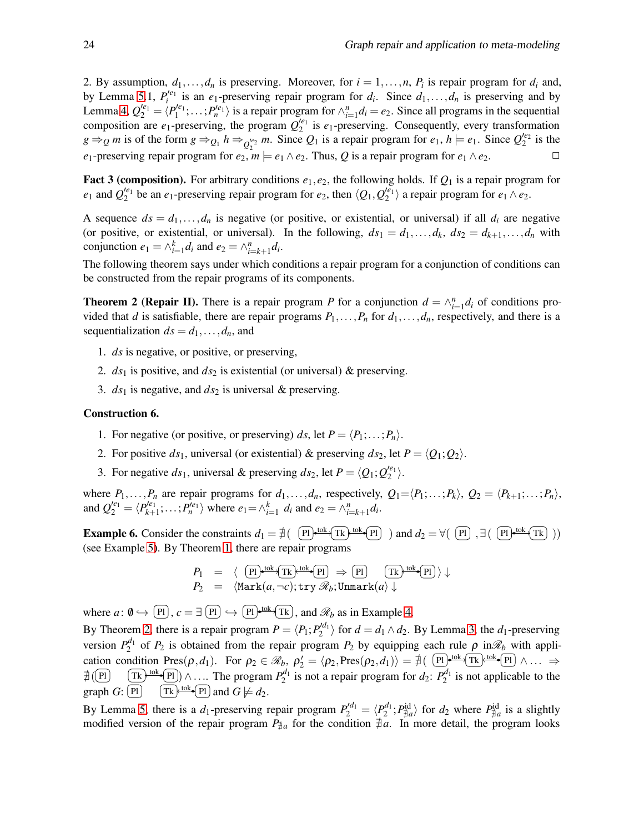2. By assumption,  $d_1, \ldots, d_n$  is preserving. Moreover, for  $i = 1, \ldots, n$ ,  $P_i$  is repair program for  $d_i$  and, by Lemma [5.](#page-10-2)1,  $P_i^{(e)}$  is an  $e_1$ -preserving repair program for  $d_i$ . Since  $d_1, \ldots, d_n$  is preserving and by Lemma [4,](#page-10-1)  $Q_2^{'e_1} = \langle P_1^{'e_1}; \ldots; P_n^{'e_1} \rangle$  is a repair program for  $\wedge_{i=1}^n d_i = e_2$ . Since all programs in the sequential composition are  $e_1$ -preserving, the program  $Q_2^{e_1}$  is  $e_1$ -preserving. Consequently, every transformation  $g \Rightarrow Q$  *m* is of the form  $g \Rightarrow Q_1$   $h \Rightarrow Q_2^{e_2}$  *m*. Since  $Q_1$  is a repair program for  $e_1$ ,  $h \models e_1$ . Since  $Q_2^{e_2}$  is the *e*<sub>1</sub>-preserving repair program for  $e_2$ ,  $m \models e_1 \land e_2$ . Thus, *Q* is a repair program for  $e_1 \land e_2$ .

<span id="page-11-1"></span>**Fact 3 (composition).** For arbitrary conditions  $e_1, e_2$ , the following holds. If  $Q_1$  is a repair program for  $e_1$  and  $Q_2^{e_1}$  be an  $e_1$ -preserving repair program for  $e_2$ , then  $\langle Q_1, Q_2^{e_1} \rangle$  a repair program for  $e_1 \wedge e_2$ .

A sequence  $ds = d_1, \ldots, d_n$  is negative (or positive, or existential, or universal) if all  $d_i$  are negative (or positive, or existential, or universal). In the following,  $ds_1 = d_1, \ldots, d_k, ds_2 = d_{k+1}, \ldots, d_n$  with conjunction  $e_1 = \wedge_{i=1}^k d_i$  and  $e_2 = \wedge_{i=k+1}^n d_i$ .

<span id="page-11-0"></span>The following theorem says under which conditions a repair program for a conjunction of conditions can be constructed from the repair programs of its components.

**Theorem 2 (Repair II).** There is a repair program *P* for a conjunction  $d = \bigwedge_{i=1}^{n} d_i$  of conditions provided that *d* is satisfiable, there are repair programs  $P_1, \ldots, P_n$  for  $d_1, \ldots, d_n$ , respectively, and there is a sequentialization  $ds = d_1, \ldots, d_n$ , and

- 1. *ds* is negative, or positive, or preserving,
- 2.  $ds_1$  is positive, and  $ds_2$  is existential (or universal) & preserving.
- 3. *ds*<sup>1</sup> is negative, and *ds*<sup>2</sup> is universal & preserving.

#### Construction 6.

- 1. For negative (or positive, or preserving) *ds*, let  $P = \langle P_1; \ldots; P_n \rangle$ .
- 2. For positive  $ds_1$ , universal (or existential) & preserving  $ds_2$ , let  $P = \langle Q_1; Q_2 \rangle$ .
- 3. For negative  $ds_1$ , universal & preserving  $ds_2$ , let  $P = \langle Q_1; Q_2^{\prime e_1} \rangle$ .

where  $P_1, \ldots, P_n$  are repair programs for  $d_1, \ldots, d_n$ , respectively,  $Q_1 = \langle P_1; \ldots, P_k \rangle$ ,  $Q_2 = \langle P_{k+1}; \ldots; P_n \rangle$ , and  $Q_2^{'e_1} = \langle P_{k+1}^{'}e_1; \dots; P_n^{'}e_1 \rangle$  where  $e_1 = \wedge_{i=1}^k d_i$  and  $e_2 = \wedge_{i=k+1}^n d_i$ .

**Example 6.** Consider the constraints  $d_1 = \nexists$  ( Pl  $\downarrow$  tok  $\uparrow$  Tk  $\downarrow$  tok  $\uparrow$  Pl ) and  $d_2 = \forall$  ( Pl  $\downarrow$   $\uparrow$   $\uparrow$   $\downarrow$   $\uparrow$   $\uparrow$   $\downarrow$   $\uparrow$   $\uparrow$   $\downarrow$   $\uparrow$   $\uparrow$   $\downarrow$ (see Example [5\)](#page-8-2). By Theorem [1,](#page-8-0) there are repair programs

$$
P_1 = \langle \overline{P_1}^{\text{tok}} \overline{Tk} \overline{rk} \overline{r} \overline{r} \overline{r} \overline{r} \overline{r} \overline{r} \overline{r} \overline{r} \overline{r} \overline{r} \overline{r} \overline{r} \overline{r} \overline{r} \overline{r} \overline{r} \overline{r} \overline{r} \overline{r} \overline{r} \overline{r} \overline{r} \overline{r} \overline{r} \overline{r} \overline{r} \overline{r} \overline{r} \overline{r} \overline{r} \overline{r} \overline{r} \overline{r} \overline{r} \overline{r} \overline{r} \overline{r} \overline{r} \overline{r} \overline{r} \overline{r} \overline{r} \overline{r} \overline{r} \overline{r} \overline{r} \overline{r} \overline{r} \overline{r} \overline{r} \overline{r} \overline{r} \overline{r} \overline{r} \overline{r} \overline{r} \overline{r} \overline{r} \overline{r} \overline{r} \overline{r} \overline{r} \overline{r} \overline{r} \overline{r} \overline{r} \overline{r} \overline{r} \overline{r} \overline{r} \overline{r} \overline{r} \overline{r} \overline{r} \overline{r} \overline{r} \overline{r} \overline{r} \overline{r} \overline{r} \overline{r} \overline{r} \overline{r} \overline{r} \overline{r} \overline{r} \overline{r} \overline{r} \overline{r} \overline{r} \overline{r} \overline{r} \overline{r} \overline{r} \overline{r} \overline{r} \overline{r} \overline{r} \overline{r} \overline{r} \overline{r} \overline{r} \overline{r} \overline{r} \overline{r} \overline{r} \overline{r} \overline{r} \overline{r} \overline{r} \overline{r} \overline{r} \overline{r} \overline{r} \overline{r} \overline{r} \overline{r} \overline{r} \overline{r} \overline{r} \overline{r} \
$$

where  $a: \emptyset \hookrightarrow [\text{Pl}], c = \exists [\text{Pl}] \hookrightarrow [\text{Pl}] \longrightarrow [\text{N}, \text{M}]\$ , and  $\mathcal{R}_b$  as in Example [4.](#page-7-2)

By Theorem [2,](#page-11-0) there is a repair program  $P = \langle P_1; P_2^{\prime d_1} \rangle$  for  $d = d_1 \wedge d_2$ . By Lemma [3,](#page-9-0) the  $d_1$ -preserving version  $P_2^{d_1}$  of  $P_2$  is obtained from the repair program  $P_2$  by equipping each rule  $\rho$  in $\mathcal{R}_b$  with application condition Pres $(\rho, d_1)$ . For  $\rho_2 \in \mathcal{R}_b$ ,  $\rho_2' = \langle \rho_2, \text{Pres}(\rho_2, d_1) \rangle = \nexists (\text{Pl}^{\text{tok}} \text{TR}^{\text{tok}} \text{PR}) \wedge \dots \Rightarrow$  $\sharp$  (Pl)  $\left( \frac{\text{Tk}}{\text{lk}} \right)$  ∴... The program  $P_2^{d_1}$  is not a repair program for  $d_2$ :  $P_2^{d_1}$  is not applicable to the graph  $G: [P]$   $\left( Tk \right)$   $\left( Tk \right)$   $\left( P \right)$  and  $G \not\models d_2$ .

By Lemma [5,](#page-10-2) there is a  $d_1$ -preserving repair program  $P_2^{d_1} = \langle P_2^{d_1} ; P_{\neq a}^{id} \rangle$  for  $d_2$  where  $P_{\neq a}^{id}$  is a slightly modified version of the repair program  $P_{\text{#}a}$  for the condition  $\#a$ . In more detail, the program looks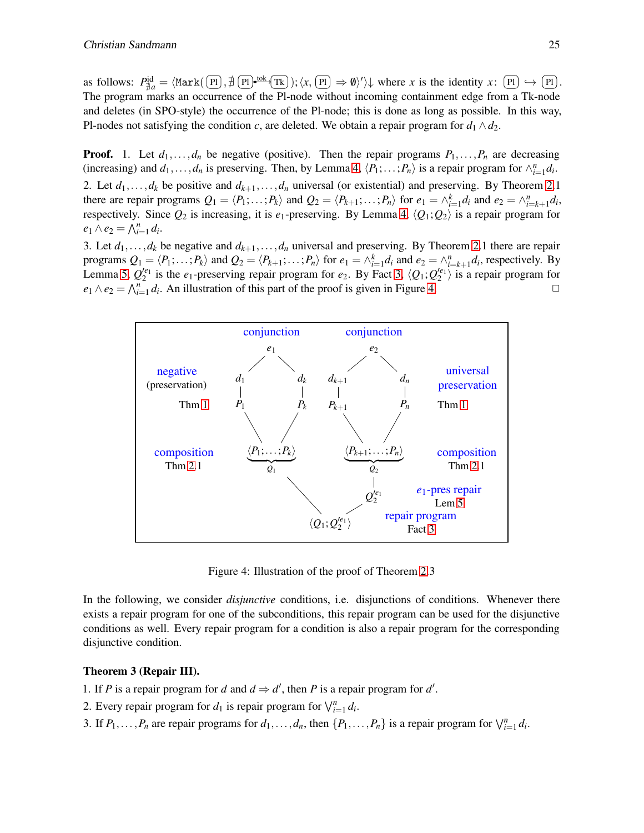as follows:  $P_{\frac{4}{4}a}^{id} = \langle \text{Mark}(\overline{P_1}, \frac{4}{7}\overline{P_1}) \cdot \text{Ext}(\overline{P_k}) : \langle x, \overline{P_1} \rangle \Rightarrow \emptyset \rangle' \rangle$  where *x* is the identity *x*:  $\overline{P_1} \hookrightarrow \overline{P_1}$ . The program marks an occurrence of the Pl-node without incoming containment edge from a Tk-node and deletes (in SPO-style) the occurrence of the Pl-node; this is done as long as possible. In this way, Pl-nodes not satisfying the condition *c*, are deleted. We obtain a repair program for  $d_1 \wedge d_2$ .

**Proof.** 1. Let  $d_1, \ldots, d_n$  be negative (positive). Then the repair programs  $P_1, \ldots, P_n$  are decreasing (increasing) and  $d_1, \ldots, d_n$  is preserving. Then, by Lemma [4,](#page-10-1)  $\langle P_1; \ldots; P_n \rangle$  is a repair program for  $\wedge_{i=1}^n d_i$ . 2. Let  $d_1, \ldots, d_k$  be positive and  $d_{k+1}, \ldots, d_n$  universal (or existential) and preserving. By Theorem [2.](#page-11-0)1 there are repair programs  $Q_1 = \langle P_1; \ldots; P_k \rangle$  and  $Q_2 = \langle P_{k+1}; \ldots; P_n \rangle$  for  $e_1 = \wedge_{i=1}^k d_i$  and  $e_2 = \wedge_{i=k+1}^n d_i$ , respectively. Since  $Q_2$  is increasing, it is  $e_1$ -preserving. By Lemma [4,](#page-10-1)  $\langle Q_1; Q_2 \rangle$  is a repair program for  $e_1 \wedge e_2 = \bigwedge_{i=1}^n d_i.$ 

3. Let  $d_1, \ldots, d_k$  be negative and  $d_{k+1}, \ldots, d_n$  universal and preserving. By Theorem [2.](#page-11-0)1 there are repair programs  $Q_1 = \langle P_1; \ldots; P_k \rangle$  and  $Q_2 = \langle P_{k+1}; \ldots; P_n \rangle$  for  $e_1 = \wedge_{i=1}^k d_i$  and  $e_2 = \wedge_{i=k+1}^n d_i$ , respectively. By Lemma [5,](#page-10-2)  $Q_2^{'e_1}$  is the  $e_1$ -preserving repair program for  $e_2$ . By Fact [3,](#page-11-1)  $\langle Q_1; Q_2^{'e_1} \rangle$  is a repair program for  $e_1 \wedge e_2 = \bigwedge_{i=1}^n d_i$ . An illustration of this part of the proof is given in Figure [4.](#page-12-0)



<span id="page-12-0"></span>Figure 4: Illustration of the proof of Theorem [2.](#page-11-0)3

In the following, we consider *disjunctive* conditions, i.e. disjunctions of conditions. Whenever there exists a repair program for one of the subconditions, this repair program can be used for the disjunctive conditions as well. Every repair program for a condition is also a repair program for the corresponding disjunctive condition.

#### <span id="page-12-1"></span>Theorem 3 (Repair III).

- 1. If *P* is a repair program for *d* and  $d \Rightarrow d'$ , then *P* is a repair program for *d'*.
- 2. Every repair program for  $d_1$  is repair program for  $\bigvee_{i=1}^n d_i$ .
- 3. If  $P_1, \ldots, P_n$  are repair programs for  $d_1, \ldots, d_n$ , then  $\{P_1, \ldots, P_n\}$  is a repair program for  $\bigvee_{i=1}^n d_i$ .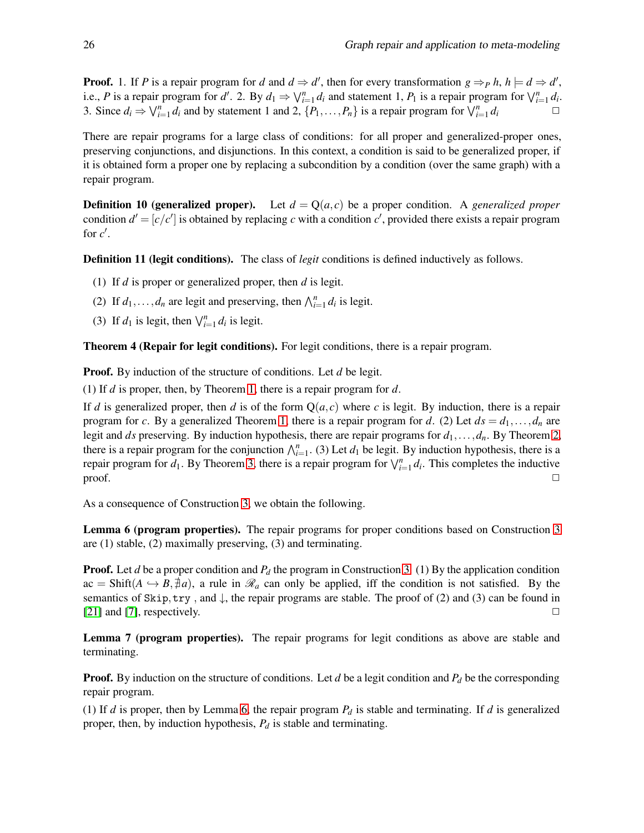**Proof.** 1. If *P* is a repair program for *d* and  $d \Rightarrow d'$ , then for every transformation  $g \Rightarrow Ph$ ,  $h \models d \Rightarrow d'$ , i.e., *P* is a repair program for *d'*. 2. By  $d_1 \Rightarrow \bigvee_{i=1}^n d_i$  and statement 1,  $P_1$  is a repair program for  $\bigvee_{i=1}^n d_i$ . 3. Since  $d_i \Rightarrow \bigvee_{i=1}^n d_i$  and by statement 1 and 2,  $\{P_1, \ldots, P_n\}$  is a repair program for  $\bigvee_{i=1}^n d_i$ 

There are repair programs for a large class of conditions: for all proper and generalized-proper ones, preserving conjunctions, and disjunctions. In this context, a condition is said to be generalized proper, if it is obtained form a proper one by replacing a subcondition by a condition (over the same graph) with a repair program.

**Definition 10 (generalized proper).** Let  $d = Q(a, c)$  be a proper condition. A *generalized proper* condition  $d' = [c/c']$  is obtained by replacing *c* with a condition *c'*, provided there exists a repair program for  $c'$ .

Definition 11 (legit conditions). The class of *legit* conditions is defined inductively as follows.

- (1) If *d* is proper or generalized proper, then *d* is legit.
- (2) If  $d_1, \ldots, d_n$  are legit and preserving, then  $\bigwedge_{i=1}^n d_i$  is legit.
- (3) If  $d_1$  is legit, then  $\bigvee_{i=1}^n d_i$  is legit.

Theorem 4 (Repair for legit conditions). For legit conditions, there is a repair program.

**Proof.** By induction of the structure of conditions. Let *d* be legit.

(1) If *d* is proper, then, by Theorem [1,](#page-8-0) there is a repair program for *d*.

If *d* is generalized proper, then *d* is of the form  $O(a, c)$  where *c* is legit. By induction, there is a repair program for *c*. By a generalized Theorem [1,](#page-8-0) there is a repair program for *d*. (2) Let  $ds = d_1, \ldots, d_n$  are legit and *ds* preserving. By induction hypothesis, there are repair programs for *d*1,...,*dn*. By Theorem [2,](#page-11-0) there is a repair program for the conjunction  $\bigwedge_{i=1}^{n}$ . (3) Let  $d_1$  be legit. By induction hypothesis, there is a repair program for  $d_1$ . By Theorem [3,](#page-12-1) there is a repair program for  $\bigvee_{i=1}^n d_i$ . This completes the inductive  $\Box$ 

<span id="page-13-0"></span>As a consequence of Construction [3,](#page-8-1) we obtain the following.

Lemma 6 (program properties). The repair programs for proper conditions based on Construction [3](#page-8-1) are (1) stable, (2) maximally preserving, (3) and terminating.

**Proof.** Let *d* be a proper condition and *P<sub>d</sub>* the program in Construction [3.](#page-8-1) (1) By the application condition  $ac = Shift(A \rightarrow B, \nexists a)$ , a rule in  $\mathcal{R}_a$  can only be applied, iff the condition is not satisfied. By the semantics of Skip, try, and  $\downarrow$ , the repair programs are stable. The proof of (2) and (3) can be found in  $[21]$  and  $[7]$ , respectively.

Lemma 7 (program properties). The repair programs for legit conditions as above are stable and terminating.

Proof. By induction on the structure of conditions. Let *d* be a legit condition and *P<sup>d</sup>* be the corresponding repair program.

(1) If *d* is proper, then by Lemma [6,](#page-13-0) the repair program *P<sup>d</sup>* is stable and terminating. If *d* is generalized proper, then, by induction hypothesis, *P<sup>d</sup>* is stable and terminating.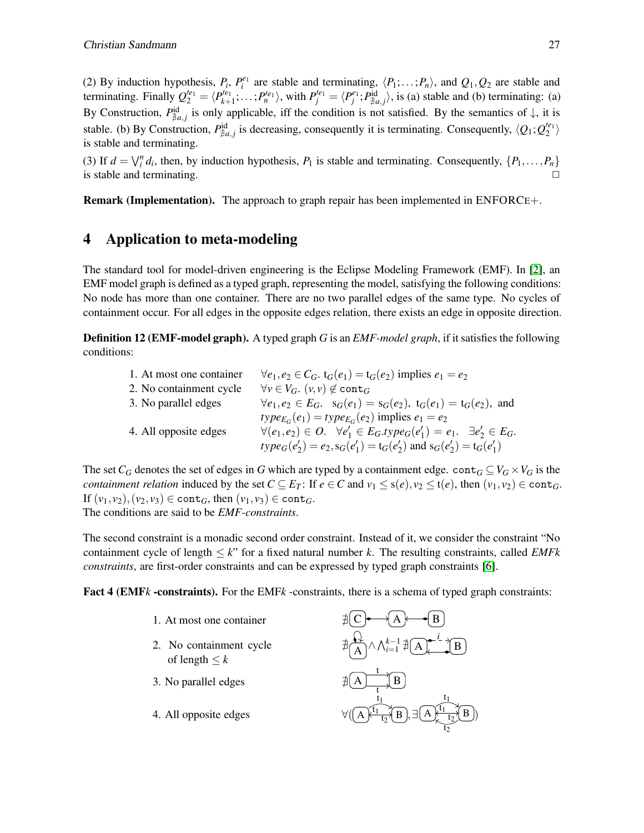(2) By induction hypothesis,  $P_i$ ,  $P_i^{e_1}$  are stable and terminating,  $\langle P_1; \ldots; P_n \rangle$ , and  $Q_1, Q_2$  are stable and terminating. Finally  $Q_2^{'e_1} = \langle P_{k+1}^{'e_1}; \ldots; P_n^{'e_1} \rangle$ , with  $P_j^{'e_1} = \langle P_j^{e_1}; P_{\nexists a,j}^{\text{id}} \rangle$ , is (a) stable and (b) terminating: (a) By Construction,  $P_{\neq a,j}^{id}$  is only applicable, iff the condition is not satisfied. By the semantics of  $\downarrow$ , it is stable. (b) By Construction,  $P_{\nexists a,j}^{\text{id}}$  is decreasing, consequently it is terminating. Consequently,  $\langle Q_1; Q_2^{\prime e_1} \rangle$ is stable and terminating.

(3) If  $d = \bigvee_i^n d_i$ , then, by induction hypothesis,  $P_1$  is stable and terminating. Consequently,  $\{P_1, \ldots, P_n\}$ is stable and terminating.

<span id="page-14-0"></span>Remark (Implementation). The approach to graph repair has been implemented in ENFORCE+.

# 4 Application to meta-modeling

The standard tool for model-driven engineering is the Eclipse Modeling Framework (EMF). In [\[2\]](#page-19-1), an EMF model graph is defined as a typed graph, representing the model, satisfying the following conditions: No node has more than one container. There are no two parallel edges of the same type. No cycles of containment occur. For all edges in the opposite edges relation, there exists an edge in opposite direction.

Definition 12 (EMF-model graph). A typed graph *G* is an *EMF-model graph*, if it satisfies the following conditions:

| 1. At most one container | $\forall e_1, e_2 \in C_G$ . $t_G(e_1) = t_G(e_2)$ implies $e_1 = e_2$                                 |
|--------------------------|--------------------------------------------------------------------------------------------------------|
| 2. No containment cycle  | $\forall v \in V_G$ . $(v, v) \notin \text{cont}_G$                                                    |
| 3. No parallel edges     | $\forall e_1, e_2 \in E_G$ . $s_G(e_1) = s_G(e_2)$ , $t_G(e_1) = t_G(e_2)$ , and                       |
|                          | $type_{E_G}(e_1) = type_{E_G}(e_2)$ implies $e_1 = e_2$                                                |
| 4. All opposite edges    | $\forall (e_1, e_2) \in O. \quad \forall e'_1 \in E_G.type_G(e'_1) = e_1. \quad \exists e'_2 \in E_G.$ |
|                          | $type_G(e'_2) = e_2, s_G(e'_1) = t_G(e'_2)$ and $s_G(e'_2) = t_G(e'_1)$                                |

The set  $C_G$  denotes the set of edges in *G* which are typed by a containment edge. cont $G \subseteq V_G \times V_G$  is the *containment relation* induced by the set  $C \subseteq E_T$ : If  $e \in C$  and  $v_1 \le s(e), v_2 \le t(e)$ , then  $(v_1, v_2) \in \text{cont}_G$ . If  $(v_1, v_2)$ ,  $(v_2, v_3)$  ∈ cont<sub>*G*</sub>, then  $(v_1, v_3)$  ∈ cont<sub>*G*</sub>. The conditions are said to be *EMF-constraints*.

The second constraint is a monadic second order constraint. Instead of it, we consider the constraint "No containment cycle of length  $\leq k$ " for a fixed natural number k. The resulting constraints, called *EMFk constraints*, are first-order constraints and can be expressed by typed graph constraints [\[6\]](#page-20-6).

<span id="page-14-1"></span>Fact 4 (EMF*k* -constraints). For the EMF*k* -constraints, there is a schema of typed graph constraints:

- 1. At most one container
- 2. No containment cycle of length  $\leq k$
- 3. No parallel edges
- 4. All opposite edges

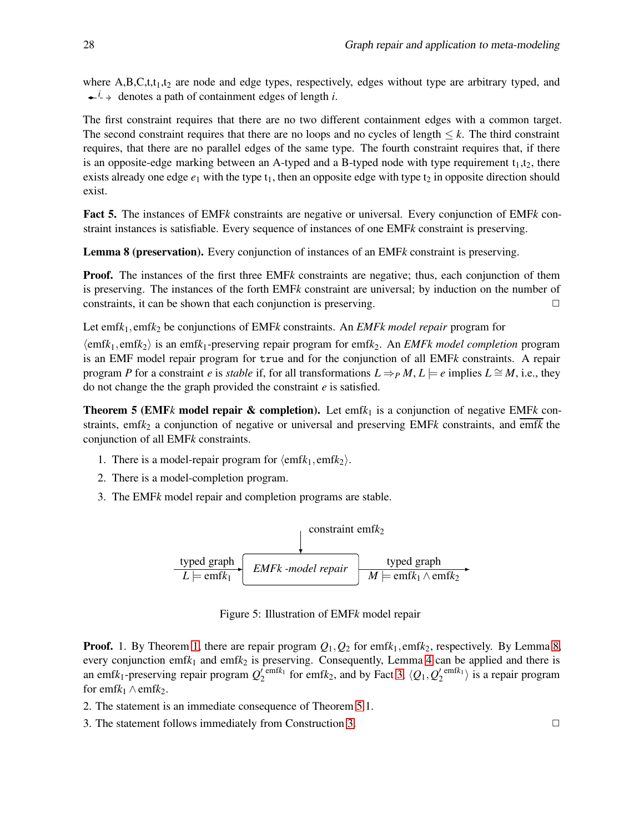where  $A, B, C, t, t_1, t_2$  are node and edge types, respectively, edges without type are arbitrary typed, and  $\leftarrow$ <sup>*i*</sup>  $\rightarrow$  denotes a path of containment edges of length *i*.

The first constraint requires that there are no two different containment edges with a common target. The second constraint requires that there are no loops and no cycles of length  $\leq k$ . The third constraint requires, that there are no parallel edges of the same type. The fourth constraint requires that, if there is an opposite-edge marking between an A-typed and a B-typed node with type requirement  $t_1, t_2$ , there exists already one edge  $e_1$  with the type  $t_1$ , then an opposite edge with type  $t_2$  in opposite direction should exist.

Fact 5. The instances of EMF*k* constraints are negative or universal. Every conjunction of EMF*k* constraint instances is satisfiable. Every sequence of instances of one EMF*k* constraint is preserving.

<span id="page-15-0"></span>Lemma 8 (preservation). Every conjunction of instances of an EMF*k* constraint is preserving.

**Proof.** The instances of the first three EMF<sub>k</sub> constraints are negative; thus, each conjunction of them is preserving. The instances of the forth EMF*k* constraint are universal; by induction on the number of constraints, it can be shown that each conjunction is preserving.  $\Box$ 

Let emf*k*1,emf*k*<sup>2</sup> be conjunctions of EMF*k* constraints. An *EMFk model repair* program for

 $\langle \text{emf}k_1, \text{emf}k_2 \rangle$  is an emf $k_1$ -preserving repair program for emf $k_2$ . An *EMFk model completion* program is an EMF model repair program for true and for the conjunction of all EMF*k* constraints. A repair program *P* for a constraint *e* is *stable* if, for all transformations  $L \Rightarrow_{P} M$ ,  $L \models e$  implies  $L \cong M$ , i.e., they do not change the the graph provided the constraint *e* is satisfied.

<span id="page-15-1"></span>**Theorem 5 (EMF** $k$  model repair & completion). Let emf $k_1$  is a conjunction of negative EMF $k$  constraints, emfk<sub>2</sub> a conjunction of negative or universal and preserving EMFk constraints, and emfk the conjunction of all EMF*k* constraints.

- 1. There is a model-repair program for  $\langle \text{emf}k_1, \text{emf}k_2 \rangle$ .
- 2. There is a model-completion program.
- 3. The EMF*k* model repair and completion programs are stable.



Figure 5: Illustration of EMF*k* model repair

**Proof.** 1. By Theorem [1,](#page-8-0) there are repair program  $Q_1$ ,  $Q_2$  for emf $k_1$ , emf $k_2$ , respectively. By Lemma [8,](#page-15-0) every conjunction emf $k_1$  and emf $k_2$  is preserving. Consequently, Lemma [4](#page-10-1) can be applied and there is an emf $k_1$ -preserving repair program  $Q_2^{(emfk_1)}$  for emf $k_2$ , and by Fact [3,](#page-11-1)  $\langle Q_1, Q_2^{(emfk_1)} \rangle$  is a repair program for emf $k_1 \wedge$ emf $k_2$ .

2. The statement is an immediate consequence of Theorem [5.](#page-15-1)1.

3. The statement follows immediately from Construction [3.](#page-8-1)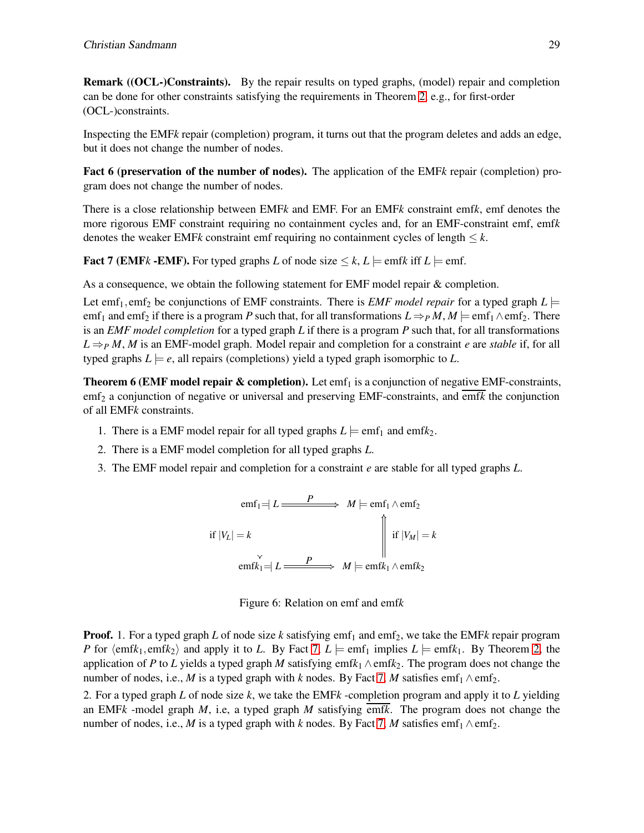Remark ((OCL-)Constraints). By the repair results on typed graphs, (model) repair and completion can be done for other constraints satisfying the requirements in Theorem [2,](#page-11-0) e.g., for first-order (OCL-)constraints.

<span id="page-16-1"></span>Inspecting the EMF*k* repair (completion) program, it turns out that the program deletes and adds an edge, but it does not change the number of nodes.

Fact 6 (preservation of the number of nodes). The application of the EMF*k* repair (completion) program does not change the number of nodes.

There is a close relationship between EMF*k* and EMF. For an EMF*k* constraint emf*k*, emf denotes the more rigorous EMF constraint requiring no containment cycles and, for an EMF-constraint emf, emf*k* denotes the weaker EMF*k* constraint emf requiring no containment cycles of length  $\leq k$ .

<span id="page-16-0"></span>**Fact 7 (EMF***k* -**EMF**). For typed graphs *L* of node size  $\leq k$ , *L*  $\models$  emf*k* iff *L*  $\models$  emf.

As a consequence, we obtain the following statement for EMF model repair & completion.

Let emf<sub>1</sub>, emf<sub>2</sub> be conjunctions of EMF constraints. There is *EMF model repair* for a typed graph  $L \models$ emf<sub>1</sub> and emf<sub>2</sub> if there is a program *P* such that, for all transformations  $L \Rightarrow_{P} M$ ,  $M \models$  emf<sub>1</sub>  $\wedge$  emf<sub>2</sub>. There is an *EMF model completion* for a typed graph *L* if there is a program *P* such that, for all transformations  $L \Rightarrow PM, M$  is an EMF-model graph. Model repair and completion for a constraint *e* are *stable* if, for all typed graphs  $L \models e$ , all repairs (completions) yield a typed graph isomorphic to *L*.

**Theorem 6 (EMF model repair & completion).** Let emf<sub>1</sub> is a conjunction of negative EMF-constraints, emf<sub>2</sub> a conjunction of negative or universal and preserving EMF-constraints, and emf*k* the conjunction of all EMF*k* constraints.

- 1. There is a EMF model repair for all typed graphs  $L \models \text{emf}_1$  and emf $k_2$ .
- 2. There is a EMF model completion for all typed graphs *L*.
- 3. The EMF model repair and completion for a constraint *e* are stable for all typed graphs *L*.

$$
emf_1 = L \xrightarrow{P} M \models emf_1 \land emf_2
$$
  
if  $|V_L| = k \qquad \qquad$   

$$
emfk_1 = L \xrightarrow{P} M \models emfk_1 \land emfk_2
$$



**Proof.** 1. For a typed graph *L* of node size *k* satisfying  $emf_1$  and  $emf_2$ , we take the EMF*k* repair program *P* for  $\langle \text{emf}k_1, \text{emf}k_2 \rangle$  and apply it to *L*. By Fact [7,](#page-16-0)  $L \models \text{emf}_1$  implies  $L \models \text{emf}k_1$ . By Theorem [2,](#page-11-0) the application of *P* to *L* yields a typed graph *M* satisfying emf $k_1 \wedge \text{emf}k_2$ . The program does not change the number of nodes, i.e., *M* is a typed graph with *k* nodes. By Fact [7,](#page-16-0) *M* satisfies emf<sub>1</sub>  $\wedge$  emf<sub>2</sub>.

2. For a typed graph *L* of node size *k*, we take the EMF*k* -completion program and apply it to *L* yielding an EMF*k* -model graph *M*, i.e, a typed graph *M* satisfying emf*k*. The program does not change the number of nodes, i.e., *M* is a typed graph with *k* nodes. By Fact [7,](#page-16-0) *M* satisfies emf<sub>1</sub>  $\wedge$  emf<sub>2</sub>.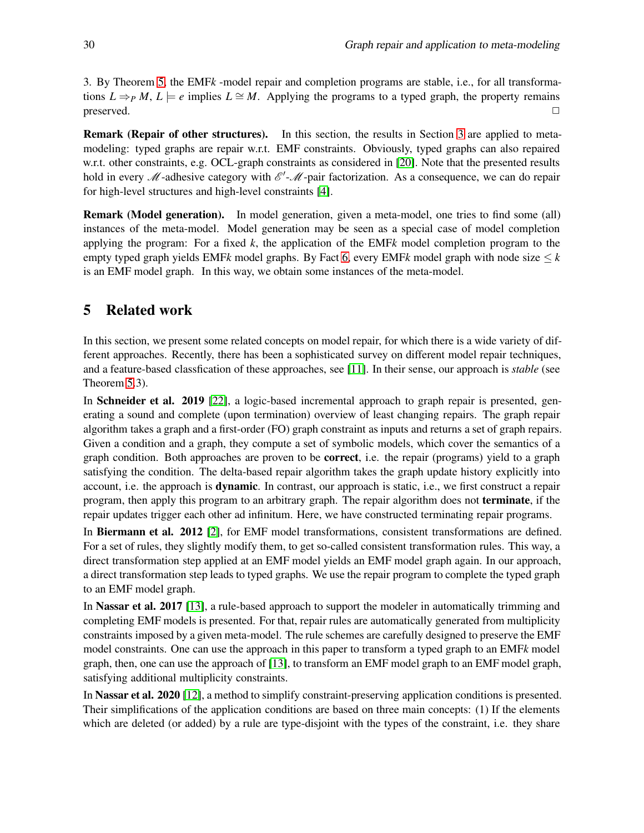3. By Theorem [5,](#page-15-1) the EMF*k* -model repair and completion programs are stable, i.e., for all transformations  $L \Rightarrow_{P} M$ ,  $L \models e$  implies  $L \cong M$ . Applying the programs to a typed graph, the property remains  $p$  preserved.  $\Box$ 

Remark (Repair of other structures). In this section, the results in Section [3](#page-6-0) are applied to metamodeling: typed graphs are repair w.r.t. EMF constraints. Obviously, typed graphs can also repaired w.r.t. other constraints, e.g. OCL-graph constraints as considered in [\[20\]](#page-20-5). Note that the presented results hold in every  $M$ -adhesive category with  $\mathscr{E}'$ - $M$ -pair factorization. As a consequence, we can do repair for high-level structures and high-level constraints [\[4\]](#page-19-3).

Remark (Model generation). In model generation, given a meta-model, one tries to find some (all) instances of the meta-model. Model generation may be seen as a special case of model completion applying the program: For a fixed *k*, the application of the EMF*k* model completion program to the empty typed graph yields EMF*k* model graphs. By Fact [6,](#page-16-1) every EMF*k* model graph with node size  $\leq k$ is an EMF model graph. In this way, we obtain some instances of the meta-model.

# <span id="page-17-0"></span>5 Related work

In this section, we present some related concepts on model repair, for which there is a wide variety of different approaches. Recently, there has been a sophisticated survey on different model repair techniques, and a feature-based classfication of these approaches, see [\[11\]](#page-20-3). In their sense, our approach is *stable* (see Theorem [5.](#page-15-1)3).

In Schneider et al. 2019 [\[22\]](#page-21-5), a logic-based incremental approach to graph repair is presented, generating a sound and complete (upon termination) overview of least changing repairs. The graph repair algorithm takes a graph and a first-order (FO) graph constraint as inputs and returns a set of graph repairs. Given a condition and a graph, they compute a set of symbolic models, which cover the semantics of a graph condition. Both approaches are proven to be correct, i.e. the repair (programs) yield to a graph satisfying the condition. The delta-based repair algorithm takes the graph update history explicitly into account, i.e. the approach is **dynamic**. In contrast, our approach is static, i.e., we first construct a repair program, then apply this program to an arbitrary graph. The repair algorithm does not terminate, if the repair updates trigger each other ad infinitum. Here, we have constructed terminating repair programs.

In Biermann et al. 2012 [\[2\]](#page-19-1), for EMF model transformations, consistent transformations are defined. For a set of rules, they slightly modify them, to get so-called consistent transformation rules. This way, a direct transformation step applied at an EMF model yields an EMF model graph again. In our approach, a direct transformation step leads to typed graphs. We use the repair program to complete the typed graph to an EMF model graph.

In Nassar et al. 2017 [\[13\]](#page-20-4), a rule-based approach to support the modeler in automatically trimming and completing EMF models is presented. For that, repair rules are automatically generated from multiplicity constraints imposed by a given meta-model. The rule schemes are carefully designed to preserve the EMF model constraints. One can use the approach in this paper to transform a typed graph to an EMF*k* model graph, then, one can use the approach of [\[13\]](#page-20-4), to transform an EMF model graph to an EMF model graph, satisfying additional multiplicity constraints.

In Nassar et al. 2020 [\[12\]](#page-20-13), a method to simplify constraint-preserving application conditions is presented. Their simplifications of the application conditions are based on three main concepts: (1) If the elements which are deleted (or added) by a rule are type-disjoint with the types of the constraint, i.e. they share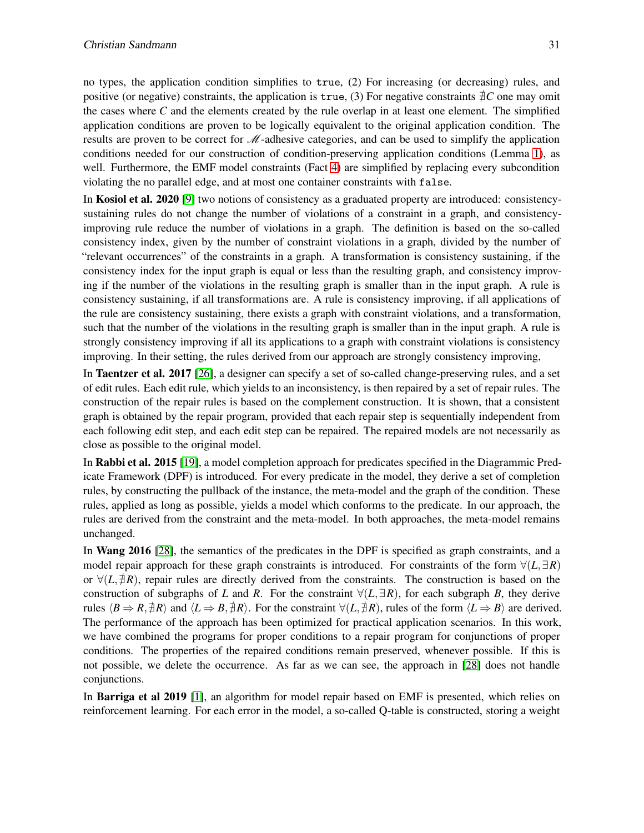no types, the application condition simplifies to true, (2) For increasing (or decreasing) rules, and positive (or negative) constraints, the application is true, (3) For negative constraints ∄*C* one may omit the cases where *C* and the elements created by the rule overlap in at least one element. The simplified application conditions are proven to be logically equivalent to the original application condition. The results are proven to be correct for  $\mathcal{M}$ -adhesive categories, and can be used to simplify the application conditions needed for our construction of condition-preserving application conditions (Lemma [1\)](#page-5-0), as well. Furthermore, the EMF model constraints (Fact [4\)](#page-14-1) are simplified by replacing every subcondition violating the no parallel edge, and at most one container constraints with false.

In **Kosiol et al. 2020** [\[9\]](#page-20-14) two notions of consistency as a graduated property are introduced: consistencysustaining rules do not change the number of violations of a constraint in a graph, and consistencyimproving rule reduce the number of violations in a graph. The definition is based on the so-called consistency index, given by the number of constraint violations in a graph, divided by the number of "relevant occurrences" of the constraints in a graph. A transformation is consistency sustaining, if the consistency index for the input graph is equal or less than the resulting graph, and consistency improving if the number of the violations in the resulting graph is smaller than in the input graph. A rule is consistency sustaining, if all transformations are. A rule is consistency improving, if all applications of the rule are consistency sustaining, there exists a graph with constraint violations, and a transformation, such that the number of the violations in the resulting graph is smaller than in the input graph. A rule is strongly consistency improving if all its applications to a graph with constraint violations is consistency improving. In their setting, the rules derived from our approach are strongly consistency improving,

In Taentzer et al. 2017 [\[26\]](#page-21-6), a designer can specify a set of so-called change-preserving rules, and a set of edit rules. Each edit rule, which yields to an inconsistency, is then repaired by a set of repair rules. The construction of the repair rules is based on the complement construction. It is shown, that a consistent graph is obtained by the repair program, provided that each repair step is sequentially independent from each following edit step, and each edit step can be repaired. The repaired models are not necessarily as close as possible to the original model.

In Rabbi et al. 2015 [\[19\]](#page-20-15), a model completion approach for predicates specified in the Diagrammic Predicate Framework (DPF) is introduced. For every predicate in the model, they derive a set of completion rules, by constructing the pullback of the instance, the meta-model and the graph of the condition. These rules, applied as long as possible, yields a model which conforms to the predicate. In our approach, the rules are derived from the constraint and the meta-model. In both approaches, the meta-model remains unchanged.

In Wang 2016 [\[28\]](#page-21-7), the semantics of the predicates in the DPF is specified as graph constraints, and a model repair approach for these graph constraints is introduced. For constraints of the form  $\forall (L, \exists R)$ or ∀(*L*,∄*R*), repair rules are directly derived from the constraints. The construction is based on the construction of subgraphs of *L* and *R*. For the constraint  $\forall$ (*L*, $\exists$ *R*), for each subgraph *B*, they derive rules  $\langle B \Rightarrow R, \overline{\pm}R \rangle$  and  $\langle L \Rightarrow B, \overline{\pm}R \rangle$ . For the constraint  $\forall (L, \overline{\pm}R)$ , rules of the form  $\langle L \Rightarrow B \rangle$  are derived. The performance of the approach has been optimized for practical application scenarios. In this work, we have combined the programs for proper conditions to a repair program for conjunctions of proper conditions. The properties of the repaired conditions remain preserved, whenever possible. If this is not possible, we delete the occurrence. As far as we can see, the approach in [\[28\]](#page-21-7) does not handle conjunctions.

In **Barriga et al 2019** [\[1\]](#page-19-4), an algorithm for model repair based on EMF is presented, which relies on reinforcement learning. For each error in the model, a so-called Q-table is constructed, storing a weight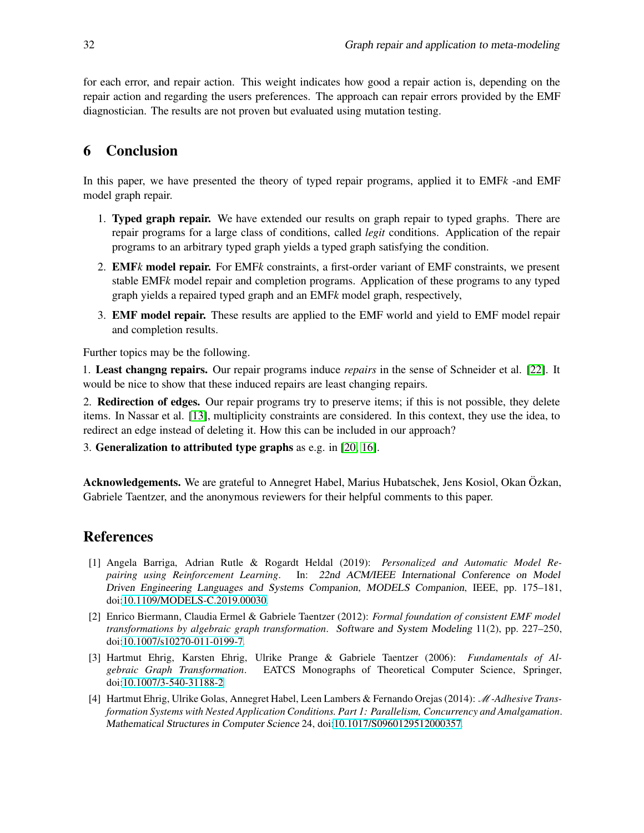for each error, and repair action. This weight indicates how good a repair action is, depending on the repair action and regarding the users preferences. The approach can repair errors provided by the EMF diagnostician. The results are not proven but evaluated using mutation testing.

### <span id="page-19-0"></span>6 Conclusion

In this paper, we have presented the theory of typed repair programs, applied it to EMF*k* -and EMF model graph repair.

- 1. Typed graph repair. We have extended our results on graph repair to typed graphs. There are repair programs for a large class of conditions, called *legit* conditions. Application of the repair programs to an arbitrary typed graph yields a typed graph satisfying the condition.
- 2. EMF*k* model repair. For EMF*k* constraints, a first-order variant of EMF constraints, we present stable EMF*k* model repair and completion programs. Application of these programs to any typed graph yields a repaired typed graph and an EMF*k* model graph, respectively,
- 3. EMF model repair. These results are applied to the EMF world and yield to EMF model repair and completion results.

Further topics may be the following.

1. Least changng repairs. Our repair programs induce *repairs* in the sense of Schneider et al. [\[22\]](#page-21-5). It would be nice to show that these induced repairs are least changing repairs.

2. Redirection of edges. Our repair programs try to preserve items; if this is not possible, they delete items. In Nassar et al. [\[13\]](#page-20-4), multiplicity constraints are considered. In this context, they use the idea, to redirect an edge instead of deleting it. How this can be included in our approach?

3. Generalization to attributed type graphs as e.g. in [\[20,](#page-20-5) [16\]](#page-20-16).

Acknowledgements. We are grateful to Annegret Habel, Marius Hubatschek, Jens Kosiol, Okan Özkan, Gabriele Taentzer, and the anonymous reviewers for their helpful comments to this paper.

# References

- <span id="page-19-4"></span>[1] Angela Barriga, Adrian Rutle & Rogardt Heldal (2019): *Personalized and Automatic Model Repairing using Reinforcement Learning*. In: 22nd ACM/IEEE International Conference on Model Driven Engineering Languages and Systems Companion, MODELS Companion, IEEE, pp. 175–181, doi[:10.1109/MODELS-C.2019.00030.](http://dx.doi.org/10.1109/MODELS-C.2019.00030)
- <span id="page-19-1"></span>[2] Enrico Biermann, Claudia Ermel & Gabriele Taentzer (2012): *Formal foundation of consistent EMF model transformations by algebraic graph transformation*. Software and System Modeling 11(2), pp. 227–250, doi[:10.1007/s10270-011-0199-7.](http://dx.doi.org/10.1007/s10270-011-0199-7)
- <span id="page-19-2"></span>[3] Hartmut Ehrig, Karsten Ehrig, Ulrike Prange & Gabriele Taentzer (2006): *Fundamentals of Algebraic Graph Transformation*. EATCS Monographs of Theoretical Computer Science, Springer, doi[:10.1007/3-540-31188-2.](http://dx.doi.org/10.1007/3-540-31188-2)
- <span id="page-19-3"></span>[4] Hartmut Ehrig, Ulrike Golas, Annegret Habel, Leen Lambers & Fernando Orejas (2014): M*-Adhesive Transformation Systems with Nested Application Conditions. Part 1: Parallelism, Concurrency and Amalgamation*. Mathematical Structures in Computer Science 24, doi[:10.1017/S0960129512000357.](http://dx.doi.org/10.1017/S0960129512000357)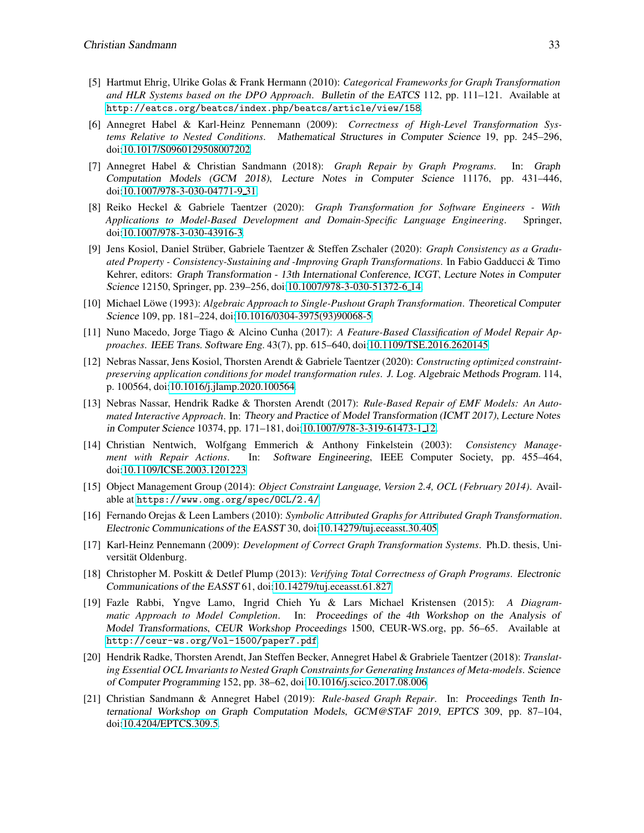- <span id="page-20-8"></span>[5] Hartmut Ehrig, Ulrike Golas & Frank Hermann (2010): *Categorical Frameworks for Graph Transformation and HLR Systems based on the DPO Approach*. Bulletin of the EATCS 112, pp. 111–121. Available at <http://eatcs.org/beatcs/index.php/beatcs/article/view/158>.
- <span id="page-20-6"></span>[6] Annegret Habel & Karl-Heinz Pennemann (2009): *Correctness of High-Level Transformation Systems Relative to Nested Conditions*. Mathematical Structures in Computer Science 19, pp. 245–296, doi[:10.1017/S0960129508007202.](http://dx.doi.org/10.1017/S0960129508007202)
- <span id="page-20-10"></span>[7] Annegret Habel & Christian Sandmann (2018): *Graph Repair by Graph Programs*. In: Graph Computation Models (GCM 2018), Lecture Notes in Computer Science 11176, pp. 431–446, doi[:10.1007/978-3-030-04771-9](http://dx.doi.org/10.1007/978-3-030-04771-9_31) 31.
- <span id="page-20-0"></span>[8] Reiko Heckel & Gabriele Taentzer (2020): *Graph Transformation for Software Engineers - With Applications to Model-Based Development and Domain-Specific Language Engineering*. Springer, doi[:10.1007/978-3-030-43916-3.](http://dx.doi.org/10.1007/978-3-030-43916-3)
- <span id="page-20-14"></span>[9] Jens Kosiol, Daniel Strüber, Gabriele Taentzer & Steffen Zschaler (2020): *Graph Consistency as a Graduated Property - Consistency-Sustaining and -Improving Graph Transformations*. In Fabio Gadducci & Timo Kehrer, editors: Graph Transformation - 13th International Conference, ICGT, Lecture Notes in Computer Science 12150, Springer, pp. 239–256, doi[:10.1007/978-3-030-51372-6](http://dx.doi.org/10.1007/978-3-030-51372-6_14) 14.
- <span id="page-20-9"></span>[10] Michael Löwe (1993): *Algebraic Approach to Single-Pushout Graph Transformation*. Theoretical Computer Science 109, pp. 181–224, doi[:10.1016/0304-3975\(93\)90068-5.](http://dx.doi.org/10.1016/0304-3975(93)90068-5)
- <span id="page-20-3"></span>[11] Nuno Macedo, Jorge Tiago & Alcino Cunha (2017): *A Feature-Based Classification of Model Repair Approaches*. IEEE Trans. Software Eng. 43(7), pp. 615–640, doi[:10.1109/TSE.2016.2620145.](http://dx.doi.org/10.1109/TSE.2016.2620145)
- <span id="page-20-13"></span>[12] Nebras Nassar, Jens Kosiol, Thorsten Arendt & Gabriele Taentzer (2020): *Constructing optimized constraintpreserving application conditions for model transformation rules*. J. Log. Algebraic Methods Program. 114, p. 100564, doi[:10.1016/j.jlamp.2020.100564.](http://dx.doi.org/10.1016/j.jlamp.2020.100564)
- <span id="page-20-4"></span>[13] Nebras Nassar, Hendrik Radke & Thorsten Arendt (2017): *Rule-Based Repair of EMF Models: An Automated Interactive Approach*. In: Theory and Practice of Model Transformation (ICMT 2017), Lecture Notes in Computer Science 10374, pp. 171–181, doi[:10.1007/978-3-319-61473-1](http://dx.doi.org/10.1007/978-3-319-61473-1_12) 12.
- <span id="page-20-2"></span>[14] Christian Nentwich, Wolfgang Emmerich & Anthony Finkelstein (2003): *Consistency Management with Repair Actions*. In: Software Engineering, IEEE Computer Society, pp. 455–464, doi[:10.1109/ICSE.2003.1201223.](http://dx.doi.org/10.1109/ICSE.2003.1201223)
- <span id="page-20-1"></span>[15] Object Management Group (2014): *Object Constraint Language, Version 2.4, OCL (February 2014)*. Available at <https://www.omg.org/spec/OCL/2.4/>.
- <span id="page-20-16"></span>[16] Fernando Orejas & Leen Lambers (2010): *Symbolic Attributed Graphs for Attributed Graph Transformation*. Electronic Communications of the EASST 30, doi[:10.14279/tuj.eceasst.30.405.](http://dx.doi.org/10.14279/tuj.eceasst.30.405)
- <span id="page-20-7"></span>[17] Karl-Heinz Pennemann (2009): *Development of Correct Graph Transformation Systems*. Ph.D. thesis, Universität Oldenburg.
- <span id="page-20-11"></span>[18] Christopher M. Poskitt & Detlef Plump (2013): *Verifying Total Correctness of Graph Programs*. Electronic Communications of the EASST 61, doi[:10.14279/tuj.eceasst.61.827.](http://dx.doi.org/10.14279/tuj.eceasst.61.827)
- <span id="page-20-15"></span>[19] Fazle Rabbi, Yngve Lamo, Ingrid Chieh Yu & Lars Michael Kristensen (2015): *A Diagrammatic Approach to Model Completion*. In: Proceedings of the 4th Workshop on the Analysis of Model Transformations, CEUR Workshop Proceedings 1500, CEUR-WS.org, pp. 56–65. Available at <http://ceur-ws.org/Vol-1500/paper7.pdf>.
- <span id="page-20-5"></span>[20] Hendrik Radke, Thorsten Arendt, Jan Steffen Becker, Annegret Habel & Grabriele Taentzer (2018): *Translating Essential OCL Invariants to Nested Graph Constraints for Generating Instances of Meta-models*. Science of Computer Programming 152, pp. 38–62, doi[:10.1016/j.scico.2017.08.006.](http://dx.doi.org/10.1016/j.scico.2017.08.006)
- <span id="page-20-12"></span>[21] Christian Sandmann & Annegret Habel (2019): *Rule-based Graph Repair*. In: Proceedings Tenth International Workshop on Graph Computation Models, GCM@STAF <sup>2019</sup>, EPTCS 309, pp. 87–104, doi[:10.4204/EPTCS.309.5.](http://dx.doi.org/10.4204/EPTCS.309.5)